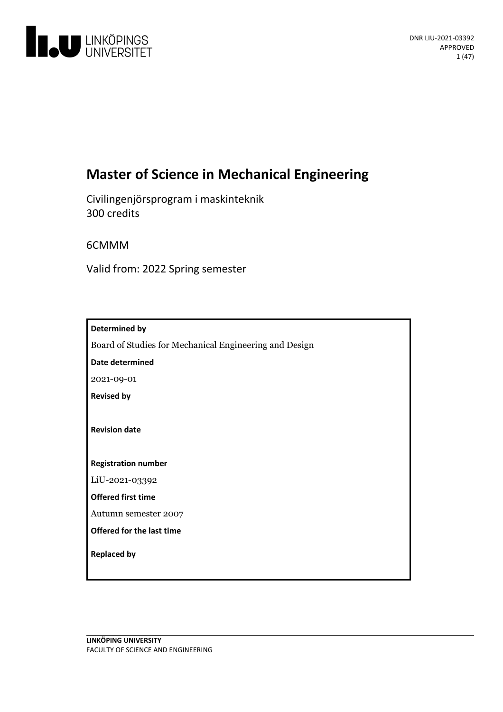

# **Master of Science in Mechanical Engineering**

Civilingenjörsprogram i maskinteknik 300 credits

6CMMM

Valid from: 2022 Spring semester

| Determined by                                          |
|--------------------------------------------------------|
| Board of Studies for Mechanical Engineering and Design |
| <b>Date determined</b>                                 |
| 2021-09-01                                             |
| <b>Revised by</b>                                      |
|                                                        |
| <b>Revision date</b>                                   |
|                                                        |
| <b>Registration number</b>                             |
| LiU-2021-03392                                         |
| <b>Offered first time</b>                              |
| Autumn semester 2007                                   |
| Offered for the last time                              |
| <b>Replaced by</b>                                     |
|                                                        |
|                                                        |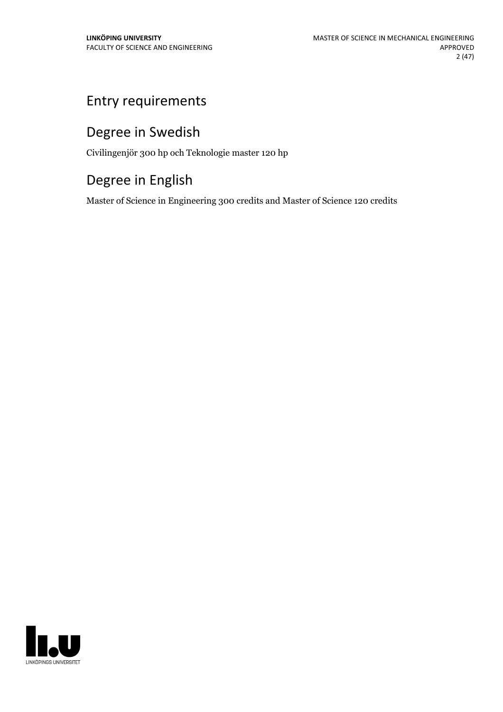# Entry requirements

# Degree in Swedish

Civilingenjör 300 hp och Teknologie master 120 hp

# Degree in English

Master of Science in Engineering 300 credits and Master of Science 120 credits

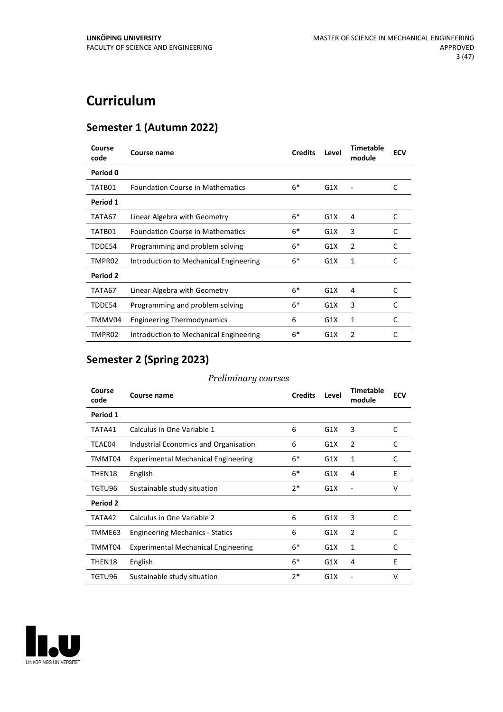# **Curriculum**

## **Semester 1 (Autumn 2022)**

| Period 0<br>$6*$<br>C<br><b>Foundation Course in Mathematics</b><br>G1X<br>TATB01<br>Period 1<br>$6*$<br>C<br>G1X<br>TATA67<br>Linear Algebra with Geometry<br>4<br>$6*$<br>3<br>C<br><b>Foundation Course in Mathematics</b><br>G1X<br>TATB01<br>$6*$<br>C<br>G1X<br>2<br>Programming and problem solving<br>TDDE54<br>$6*$<br>TMPR02<br>G1X<br>1<br>C<br>Introduction to Mechanical Engineering<br><b>Period 2</b><br>$6*$<br>G1X<br>C<br>Linear Algebra with Geometry<br>4<br>TATA67<br>$6*$<br>3<br>C<br>Programming and problem solving<br>G1X<br>TDDE54<br>TMMV04<br>G1X<br>C<br><b>Engineering Thermodynamics</b><br>1<br>6<br>$6*$<br>TMPR02<br>G1X<br>2<br>C<br>Introduction to Mechanical Engineering | Course<br>code | Course name | <b>Credits</b> | Level | <b>Timetable</b><br>module | <b>ECV</b> |
|-----------------------------------------------------------------------------------------------------------------------------------------------------------------------------------------------------------------------------------------------------------------------------------------------------------------------------------------------------------------------------------------------------------------------------------------------------------------------------------------------------------------------------------------------------------------------------------------------------------------------------------------------------------------------------------------------------------------|----------------|-------------|----------------|-------|----------------------------|------------|
|                                                                                                                                                                                                                                                                                                                                                                                                                                                                                                                                                                                                                                                                                                                 |                |             |                |       |                            |            |
|                                                                                                                                                                                                                                                                                                                                                                                                                                                                                                                                                                                                                                                                                                                 |                |             |                |       |                            |            |
|                                                                                                                                                                                                                                                                                                                                                                                                                                                                                                                                                                                                                                                                                                                 |                |             |                |       |                            |            |
|                                                                                                                                                                                                                                                                                                                                                                                                                                                                                                                                                                                                                                                                                                                 |                |             |                |       |                            |            |
|                                                                                                                                                                                                                                                                                                                                                                                                                                                                                                                                                                                                                                                                                                                 |                |             |                |       |                            |            |
|                                                                                                                                                                                                                                                                                                                                                                                                                                                                                                                                                                                                                                                                                                                 |                |             |                |       |                            |            |
|                                                                                                                                                                                                                                                                                                                                                                                                                                                                                                                                                                                                                                                                                                                 |                |             |                |       |                            |            |
|                                                                                                                                                                                                                                                                                                                                                                                                                                                                                                                                                                                                                                                                                                                 |                |             |                |       |                            |            |
|                                                                                                                                                                                                                                                                                                                                                                                                                                                                                                                                                                                                                                                                                                                 |                |             |                |       |                            |            |
|                                                                                                                                                                                                                                                                                                                                                                                                                                                                                                                                                                                                                                                                                                                 |                |             |                |       |                            |            |
|                                                                                                                                                                                                                                                                                                                                                                                                                                                                                                                                                                                                                                                                                                                 |                |             |                |       |                            |            |
|                                                                                                                                                                                                                                                                                                                                                                                                                                                                                                                                                                                                                                                                                                                 |                |             |                |       |                            |            |

## **Semester 2 (Spring 2023)**

| Course<br>code | Course name                                | <b>Credits</b> | Level | <b>Timetable</b><br>module | <b>ECV</b> |
|----------------|--------------------------------------------|----------------|-------|----------------------------|------------|
| Period 1       |                                            |                |       |                            |            |
| TATA41         | Calculus in One Variable 1                 | 6              | G1X   | 3                          | C          |
| TEAE04         | Industrial Economics and Organisation      | 6              | G1X   | $\overline{2}$             | C          |
| TMMT04         | <b>Experimental Mechanical Engineering</b> | $6*$           | G1X   | 1                          | C          |
| THEN18         | English                                    | $6*$           | G1X   | 4                          | E          |
| TGTU96         | Sustainable study situation                | $2*$           | G1X   |                            | v          |
| Period 2       |                                            |                |       |                            |            |
| TATA42         | Calculus in One Variable 2                 | 6              | G1X   | 3                          | C          |
| TMME63         | <b>Engineering Mechanics - Statics</b>     | 6              | G1X   | $\overline{2}$             | C          |
| TMMT04         | <b>Experimental Mechanical Engineering</b> | 6*             | G1X   | 1                          | C          |
| THEN18         | English                                    | $6*$           | G1X   | 4                          | E          |
| TGTU96         | Sustainable study situation                | $2*$           | G1X   |                            | v          |

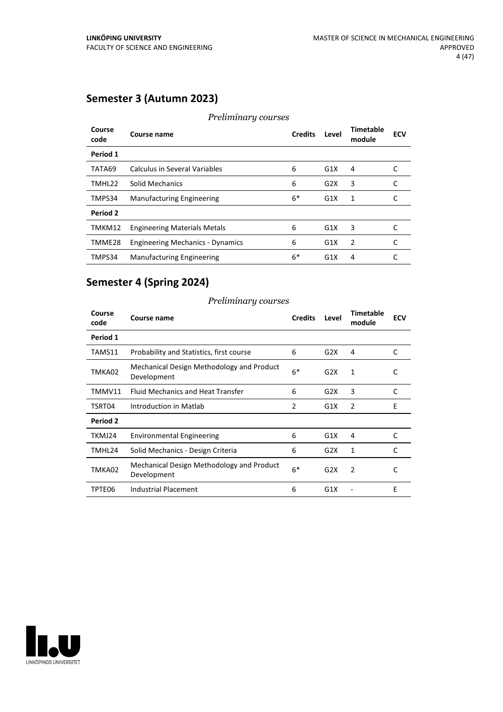## **Semester 3 (Autumn 2023)**

| Course<br>code  | ັ<br>Course name                        | <b>Credits</b> | Level | Timetable<br>module | <b>ECV</b> |
|-----------------|-----------------------------------------|----------------|-------|---------------------|------------|
| Period 1        |                                         |                |       |                     |            |
| TATA69          | Calculus in Several Variables           | 6              | G1X   | 4                   | C          |
| TMHL22          | Solid Mechanics                         | 6              | G2X   | 3                   | C          |
| TMPS34          | <b>Manufacturing Engineering</b>        | $6*$           | G1X   | 1                   | C          |
| <b>Period 2</b> |                                         |                |       |                     |            |
| TMKM12          | <b>Engineering Materials Metals</b>     | 6              | G1X   | 3                   | C          |
| TMME28          | <b>Engineering Mechanics - Dynamics</b> | 6              | G1X   | 2                   | C          |
| TMPS34          | <b>Manufacturing Engineering</b>        | $6*$           | G1X   | 4                   |            |

## *Preliminary courses*

## **Semester 4 (Spring 2024)**

| Course<br>code | Course name                                              | <b>Credits</b> | Level | <b>Timetable</b><br>module | <b>ECV</b> |
|----------------|----------------------------------------------------------|----------------|-------|----------------------------|------------|
| Period 1       |                                                          |                |       |                            |            |
| TAMS11         | Probability and Statistics, first course                 | 6              | G2X   | 4                          | C          |
| TMKA02         | Mechanical Design Methodology and Product<br>Development | $6*$           | G2X   | 1                          | C          |
| TMMV11         | <b>Fluid Mechanics and Heat Transfer</b>                 | 6              | G2X   | 3                          | C          |
| TSRT04         | Introduction in Matlab                                   | 2              | G1X   | 2                          | E          |
| Period 2       |                                                          |                |       |                            |            |
| TKMJ24         | <b>Environmental Engineering</b>                         | 6              | G1X   | 4                          | C          |
| TMHL24         | Solid Mechanics - Design Criteria                        | 6              | G2X   | 1                          | C          |
| TMKA02         | Mechanical Design Methodology and Product<br>Development | $6*$           | G2X   | $\mathcal{P}$              | C          |
| TPTE06         | <b>Industrial Placement</b>                              | 6              | G1X   |                            | E          |

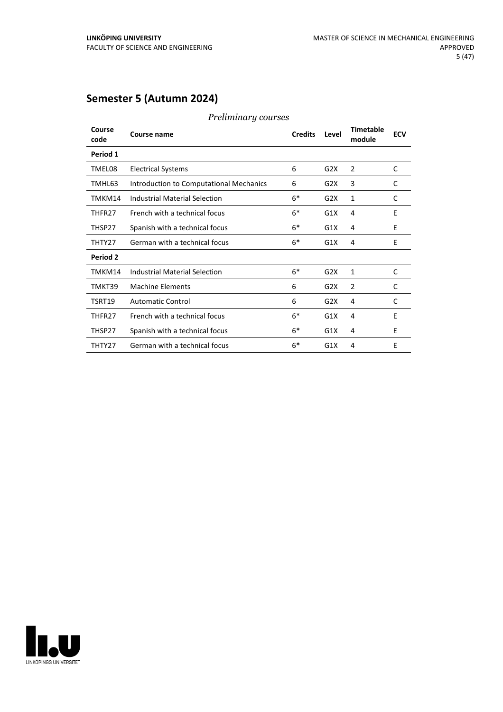## **Semester 5 (Autumn 2024)**

| Course<br>code | Course name                             | <b>Credits</b> | Level | Timetable<br>module | <b>ECV</b> |
|----------------|-----------------------------------------|----------------|-------|---------------------|------------|
| Period 1       |                                         |                |       |                     |            |
| TMEL08         | <b>Electrical Systems</b>               | 6              | G2X   | 2                   | C          |
| TMHL63         | Introduction to Computational Mechanics | 6              | G2X   | 3                   | C          |
| TMKM14         | <b>Industrial Material Selection</b>    | $6*$           | G2X   | 1                   | C          |
| THFR27         | French with a technical focus           | $6*$           | G1X   | 4                   | E          |
| THSP27         | Spanish with a technical focus          | $6*$           | G1X   | 4                   | E          |
| THTY27         | German with a technical focus           | $6*$           | G1X   | 4                   | E          |
| Period 2       |                                         |                |       |                     |            |
| TMKM14         | Industrial Material Selection           | $6*$           | G2X   | 1                   | C          |
| TMKT39         | <b>Machine Elements</b>                 | 6              | G2X   | $\overline{2}$      | C          |
| TSRT19         | <b>Automatic Control</b>                | 6              | G2X   | 4                   | C          |
| THFR27         | French with a technical focus           | $6*$           | G1X   | 4                   | E          |
| THSP27         | Spanish with a technical focus          | $6*$           | G1X   | 4                   | E          |
| THTY27         | German with a technical focus           | $6*$           | G1X   | 4                   | E          |

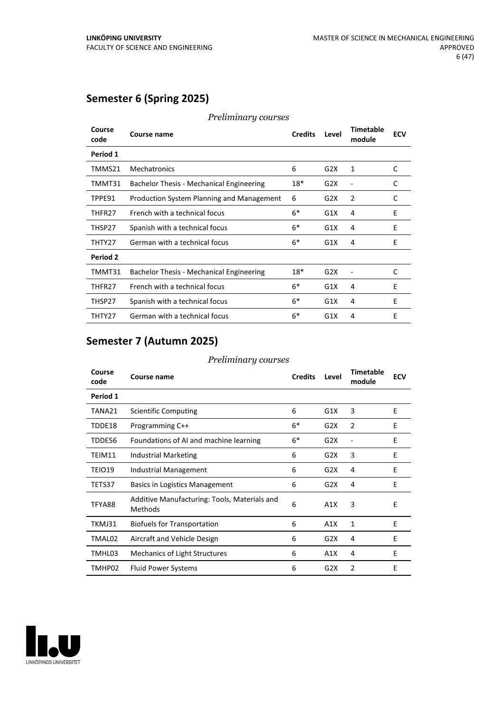## **Semester 6 (Spring 2025)**

| Course<br>code | Course name                               | <b>Credits</b> | Level | <b>Timetable</b><br>module | <b>ECV</b> |
|----------------|-------------------------------------------|----------------|-------|----------------------------|------------|
| Period 1       |                                           |                |       |                            |            |
| TMMS21         | Mechatronics                              | 6              | G2X   | 1                          | C          |
| TMMT31         | Bachelor Thesis - Mechanical Engineering  | 18*            | G2X   |                            | C          |
| TPPE91         | Production System Planning and Management | 6              | G2X   | $\overline{2}$             | C          |
| THFR27         | French with a technical focus             | $6*$           | G1X   | 4                          | E          |
| THSP27         | Spanish with a technical focus            | $6*$           | G1X   | 4                          | E          |
| THTY27         | German with a technical focus             | $6*$           | G1X   | 4                          | E          |
| Period 2       |                                           |                |       |                            |            |
| TMMT31         | Bachelor Thesis - Mechanical Engineering  | 18*            | G2X   |                            | C          |
| THFR27         | French with a technical focus             | $6*$           | G1X   | 4                          | E          |
| THSP27         | Spanish with a technical focus            | $6*$           | G1X   | 4                          | E          |
| THTY27         | German with a technical focus             | $6*$           | G1X   | 4                          | Ε          |

#### *Preliminary courses*

## **Semester 7 (Autumn 2025)**

| Course<br>code | Course name                                                    | <b>Credits</b> | Level | <b>Timetable</b><br>module | <b>ECV</b> |
|----------------|----------------------------------------------------------------|----------------|-------|----------------------------|------------|
| Period 1       |                                                                |                |       |                            |            |
| TANA21         | Scientific Computing                                           | 6              | G1X   | 3                          | E          |
| TDDE18         | Programming C++                                                | $6*$           | G2X   | 2                          | E          |
| TDDE56         | Foundations of AI and machine learning                         | $6*$           | G2X   |                            | E          |
| TEIM11         | Industrial Marketing                                           | 6              | G2X   | 3                          | E          |
| TEIO19         | Industrial Management                                          | 6              | G2X   | 4                          | E          |
| TETS37         | <b>Basics in Logistics Management</b>                          | 6              | G2X   | 4                          | E          |
| TFYA88         | Additive Manufacturing: Tools, Materials and<br><b>Methods</b> | 6              | A1X   | 3                          | E          |
| TKMJ31         | Biofuels for Transportation                                    | 6              | A1X   | $\mathbf{1}$               | E          |
| TMAL02         | Aircraft and Vehicle Design                                    | 6              | G2X   | 4                          | E          |
| TMHL03         | Mechanics of Light Structures                                  | 6              | A1X   | 4                          | E          |
| TMHP02         | <b>Fluid Power Systems</b>                                     | 6              | G2X   | $\overline{2}$             | E          |

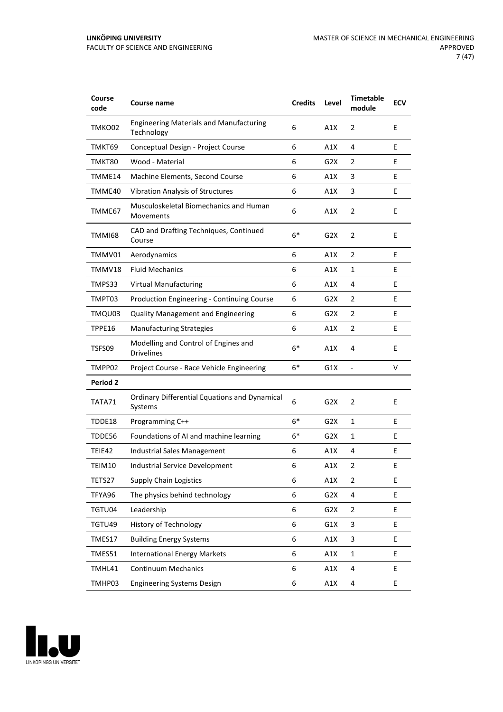| Course<br>code | <b>Course name</b>                                              | <b>Credits</b> | Level            | <b>Timetable</b><br>module | <b>ECV</b> |
|----------------|-----------------------------------------------------------------|----------------|------------------|----------------------------|------------|
| TMKO02         | <b>Engineering Materials and Manufacturing</b><br>Technology    | 6              | A1X              | $\overline{2}$             | E          |
| TMKT69         | Conceptual Design - Project Course                              | 6              | A1X              | 4                          | E          |
| TMKT80         | Wood - Material                                                 | 6              | G2X              | 2                          | E          |
| TMME14         | Machine Elements, Second Course                                 | 6              | A1X              | 3                          | E          |
| TMME40         | <b>Vibration Analysis of Structures</b>                         | 6              | A1X              | 3                          | E          |
| TMME67         | Musculoskeletal Biomechanics and Human<br>Movements             | 6              | A1X              | 2                          | E          |
| TMMI68         | CAD and Drafting Techniques, Continued<br>Course                | $6*$           | G2X              | 2                          | E          |
| TMMV01         | Aerodynamics                                                    | 6              | A1X              | 2                          | E          |
| TMMV18         | <b>Fluid Mechanics</b>                                          | 6              | A1X              | 1                          | E          |
| TMPS33         | <b>Virtual Manufacturing</b>                                    | 6              | A1X              | 4                          | E          |
| TMPT03         | Production Engineering - Continuing Course                      | 6              | G2X              | 2                          | E          |
| TMQU03         | <b>Quality Management and Engineering</b>                       | 6              | G2X              | 2                          | E          |
| TPPE16         | <b>Manufacturing Strategies</b>                                 | 6              | A1X              | $\overline{2}$             | E          |
| TSFS09         | Modelling and Control of Engines and<br><b>Drivelines</b>       | $6*$           | A1X              | 4                          | E          |
| TMPP02         | Project Course - Race Vehicle Engineering                       | $6*$           | G1X              |                            | $\vee$     |
| Period 2       |                                                                 |                |                  |                            |            |
| TATA71         | <b>Ordinary Differential Equations and Dynamical</b><br>Systems | 6              | G <sub>2</sub> X | 2                          | E          |
| TDDE18         | Programming C++                                                 | 6*             | G <sub>2</sub> X | 1                          | Ε          |
| TDDE56         | Foundations of AI and machine learning                          | $6*$           | G2X              | 1                          | E          |
| TEIE42         | Industrial Sales Management                                     | 6              | A1X              | 4                          | E          |
| TEIM10         | <b>Industrial Service Development</b>                           | 6              | A1X              | 2                          | E          |
| TETS27         | <b>Supply Chain Logistics</b>                                   | 6              | A1X              | 2                          | E          |
| TFYA96         | The physics behind technology                                   | 6              | G <sub>2</sub> X | 4                          | E          |
| TGTU04         | Leadership                                                      | 6              | G <sub>2</sub> X | 2                          | E          |
| TGTU49         | <b>History of Technology</b>                                    | 6              | G1X              | 3                          | E          |
| TMES17         | <b>Building Energy Systems</b>                                  | 6              | A1X              | 3                          | E          |
| TMES51         | <b>International Energy Markets</b>                             | 6              | A1X              | $\mathbf 1$                | E          |
| TMHL41         | <b>Continuum Mechanics</b>                                      | 6              | A1X              | 4                          | E          |
| TMHP03         | <b>Engineering Systems Design</b>                               | 6              | A1X              | 4                          | E          |

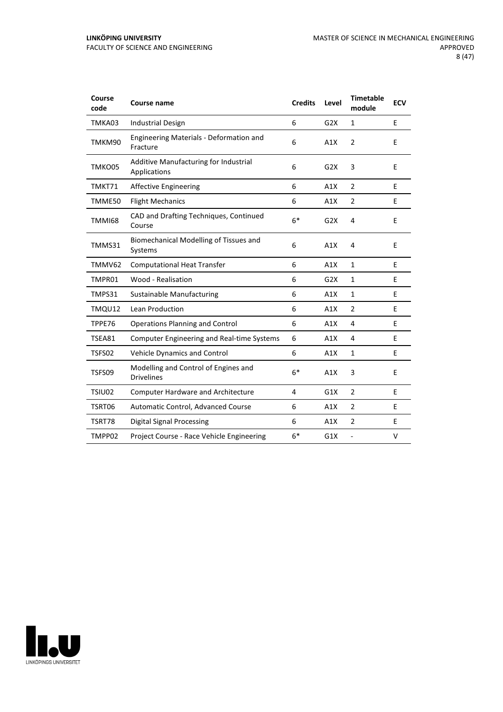| Course<br>code | <b>Course name</b>                                        | <b>Credits</b> | Level | <b>Timetable</b><br>module | <b>ECV</b> |
|----------------|-----------------------------------------------------------|----------------|-------|----------------------------|------------|
| TMKA03         | <b>Industrial Design</b>                                  | 6              | G2X   | 1                          | E          |
| TMKM90         | Engineering Materials - Deformation and<br>Fracture       | 6              | A1X   | $\overline{2}$             | E          |
| TMKO05         | Additive Manufacturing for Industrial<br>Applications     | 6              | G2X   | 3                          | E          |
| TMKT71         | <b>Affective Engineering</b>                              | 6              | A1X   | $\overline{2}$             | E          |
| TMME50         | <b>Flight Mechanics</b>                                   | 6              | A1X   | 2                          | E          |
| TMMI68         | CAD and Drafting Techniques, Continued<br>Course          | $6*$           | G2X   | 4                          | E          |
| TMMS31         | Biomechanical Modelling of Tissues and<br>Systems         | 6              | A1X   | 4                          | E          |
| TMMV62         | <b>Computational Heat Transfer</b>                        | 6              | A1X   | $\mathbf 1$                | E          |
| TMPR01         | Wood - Realisation                                        | 6              | G2X   | $\mathbf{1}$               | E          |
| TMPS31         | Sustainable Manufacturing                                 | 6              | A1X   | 1                          | E          |
| TMQU12         | Lean Production                                           | 6              | A1X   | $\overline{2}$             | E          |
| TPPE76         | <b>Operations Planning and Control</b>                    | 6              | A1X   | 4                          | E          |
| TSEA81         | <b>Computer Engineering and Real-time Systems</b>         | 6              | A1X   | 4                          | E          |
| TSFS02         | Vehicle Dynamics and Control                              | 6              | A1X   | $\mathbf{1}$               | E          |
| TSFS09         | Modelling and Control of Engines and<br><b>Drivelines</b> | $6*$           | A1X   | 3                          | E          |
| TSIU02         | <b>Computer Hardware and Architecture</b>                 | 4              | G1X   | $\overline{2}$             | E          |
| TSRT06         | Automatic Control, Advanced Course                        | 6              | A1X   | 2                          | E          |
| TSRT78         | <b>Digital Signal Processing</b>                          | 6              | A1X   | 2                          | E          |
| TMPP02         | Project Course - Race Vehicle Engineering                 | $6*$           | G1X   | $\overline{a}$             | v          |

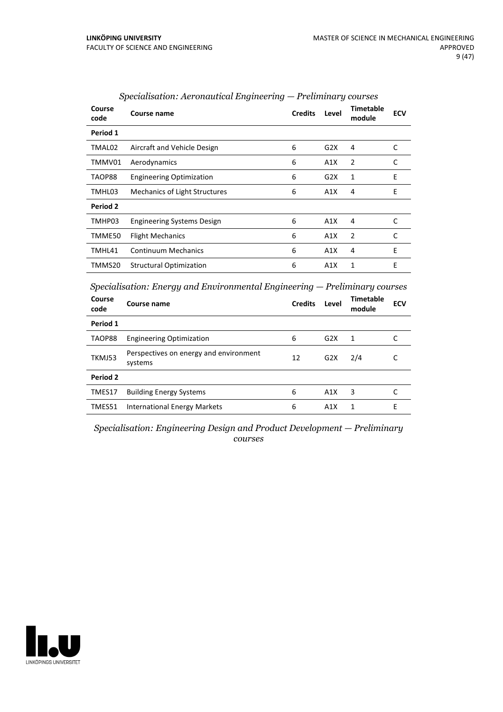| Course<br>code | Course name                          | <b>Credits</b> | Level | <b>Timetable</b><br>module | <b>ECV</b> |
|----------------|--------------------------------------|----------------|-------|----------------------------|------------|
| Period 1       |                                      |                |       |                            |            |
| TMAL02         | Aircraft and Vehicle Design          | 6              | G2X   | 4                          | C          |
| TMMV01         | Aerodynamics                         | 6              | A1X   | 2                          | C          |
| TAOP88         | <b>Engineering Optimization</b>      | 6              | G2X   | 1                          | F          |
| TMHL03         | <b>Mechanics of Light Structures</b> | 6              | A1X   | 4                          | E          |
| Period 2       |                                      |                |       |                            |            |
| TMHP03         | <b>Engineering Systems Design</b>    | 6              | A1X   | 4                          | C          |
| TMME50         | <b>Flight Mechanics</b>              | 6              | A1X   | 2                          | C          |
| TMHL41         | <b>Continuum Mechanics</b>           | 6              | A1X   | 4                          | E          |
| TMMS20         | <b>Structural Optimization</b>       | 6              | A1X   | $\mathbf{1}$               | E          |

#### *Specialisation: Aeronautical Engineering — Preliminary courses*

*Specialisation: Energy and Environmental Engineering — Preliminary courses*

| Course<br>code | Course name                                       | <b>Credits</b> | Level | <b>Timetable</b><br>module | <b>ECV</b> |
|----------------|---------------------------------------------------|----------------|-------|----------------------------|------------|
| Period 1       |                                                   |                |       |                            |            |
| TAOP88         | <b>Engineering Optimization</b>                   | 6              | G2X   | 1                          |            |
| TKMJ53         | Perspectives on energy and environment<br>systems | 12             | G2X   | 2/4                        |            |
| Period 2       |                                                   |                |       |                            |            |
| TMES17         | <b>Building Energy Systems</b>                    | 6              | A1X   | 3                          |            |
| TMES51         | <b>International Energy Markets</b>               | 6              | A1X   |                            | E          |

*Specialisation: Engineering Design and Product Development — Preliminary courses*

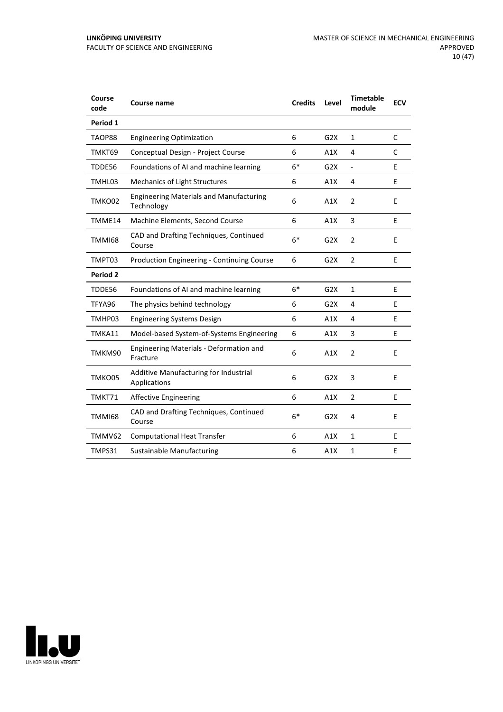| Course<br>code | Course name                                                  | <b>Credits</b> | Level            | <b>Timetable</b><br>module | <b>ECV</b> |
|----------------|--------------------------------------------------------------|----------------|------------------|----------------------------|------------|
| Period 1       |                                                              |                |                  |                            |            |
| TAOP88         | <b>Engineering Optimization</b>                              | 6              | G2X              | $\mathbf{1}$               | C          |
| TMKT69         | Conceptual Design - Project Course                           | 6              | A1X              | 4                          | C          |
| TDDE56         | Foundations of AI and machine learning                       | $6*$           | G2X              | $\frac{1}{2}$              | E          |
| TMHL03         | Mechanics of Light Structures                                | 6              | A1X              | 4                          | E          |
| TMKO02         | <b>Engineering Materials and Manufacturing</b><br>Technology | 6              | A1X              | $\overline{2}$             | E          |
| TMME14         | Machine Elements, Second Course                              | 6              | A1X              | 3                          | E          |
| <b>TMMI68</b>  | CAD and Drafting Techniques, Continued<br>Course             | $6*$           | G <sub>2</sub> X | $\overline{2}$             | E          |
| TMPT03         | <b>Production Engineering - Continuing Course</b>            | 6              | G <sub>2</sub> X | $\overline{2}$             | E          |
| Period 2       |                                                              |                |                  |                            |            |
| TDDE56         | Foundations of AI and machine learning                       | $6*$           | G <sub>2</sub> X | $\mathbf{1}$               | E          |
| TFYA96         | The physics behind technology                                | 6              | G <sub>2</sub> X | 4                          | E          |
| TMHP03         | <b>Engineering Systems Design</b>                            | 6              | A1X              | 4                          | E          |
| TMKA11         | Model-based System-of-Systems Engineering                    | 6              | A1X              | 3                          | E          |
| TMKM90         | <b>Engineering Materials - Deformation and</b><br>Fracture   | 6              | A1X              | $\overline{2}$             | E          |
| TMKO05         | Additive Manufacturing for Industrial<br>Applications        | 6              | G2X              | 3                          | E          |
| TMKT71         | <b>Affective Engineering</b>                                 | 6              | A1X              | $\overline{2}$             | E          |
| <b>TMMI68</b>  | CAD and Drafting Techniques, Continued<br>Course             | $6*$           | G2X              | 4                          | E          |
| TMMV62         | <b>Computational Heat Transfer</b>                           | 6              | A1X              | $\mathbf{1}$               | E          |
| TMPS31         | Sustainable Manufacturing                                    | 6              | A1X              | 1                          | E          |

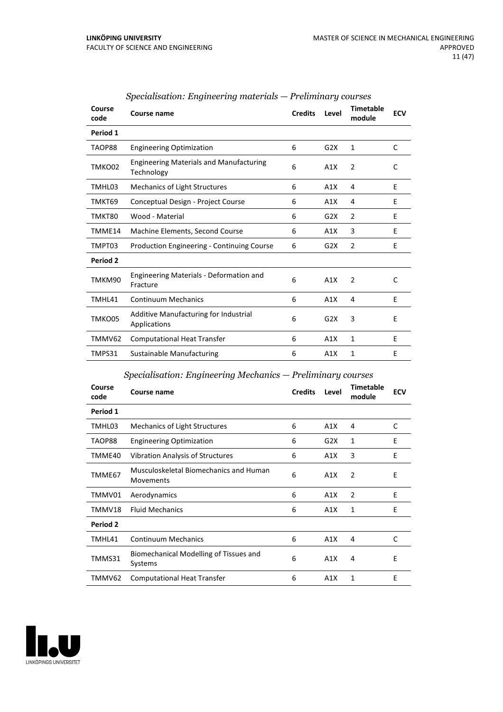| Course<br>code | Course name                                                  | <b>Credits</b> | Level | <b>Timetable</b><br>module | <b>ECV</b> |
|----------------|--------------------------------------------------------------|----------------|-------|----------------------------|------------|
| Period 1       |                                                              |                |       |                            |            |
| TAOP88         | <b>Engineering Optimization</b>                              | 6              | G2X   | 1                          | C          |
| TMKO02         | <b>Engineering Materials and Manufacturing</b><br>Technology | 6              | A1X   | 2                          | C          |
| TMHL03         | Mechanics of Light Structures                                | 6              | A1X   | 4                          | E          |
| TMKT69         | Conceptual Design - Project Course                           | 6              | A1X   | 4                          | E          |
| TMKT80         | Wood - Material                                              | 6              | G2X   | $\overline{2}$             | E          |
| TMME14         | Machine Elements, Second Course                              | 6              | A1X   | 3                          | E          |
| TMPT03         | <b>Production Engineering - Continuing Course</b>            | 6              | G2X   | $\overline{2}$             | Е          |
| Period 2       |                                                              |                |       |                            |            |
| TMKM90         | <b>Engineering Materials - Deformation and</b><br>Fracture   | 6              | A1X   | $\overline{2}$             | C          |
| TMHL41         | <b>Continuum Mechanics</b>                                   | 6              | A1X   | 4                          | E          |
| TMKO05         | Additive Manufacturing for Industrial<br>Applications        | 6              | G2X   | 3                          | E          |
| TMMV62         | <b>Computational Heat Transfer</b>                           | 6              | A1X   | $\mathbf{1}$               | F          |
| TMPS31         | Sustainable Manufacturing                                    | 6              | A1X   | 1                          | E          |

## *Specialisation: Engineering materials — Preliminary courses*

## *Specialisation: Engineering Mechanics — Preliminary courses*

| Course<br>code | Course name                                         | <b>Credits</b> | Level | <b>Timetable</b><br>module | <b>ECV</b> |
|----------------|-----------------------------------------------------|----------------|-------|----------------------------|------------|
| Period 1       |                                                     |                |       |                            |            |
| TMHL03         | <b>Mechanics of Light Structures</b>                | 6              | A1X   | 4                          | C          |
| TAOP88         | <b>Engineering Optimization</b>                     | 6              | G2X   | 1                          | E          |
| TMME40         | <b>Vibration Analysis of Structures</b>             | 6              | A1X   | 3                          | E          |
| TMME67         | Musculoskeletal Biomechanics and Human<br>Movements | 6              | A1X   | 2                          | E          |
| TMMV01         | Aerodynamics                                        | 6              | A1X   | 2                          | E          |
| TMMV18         | <b>Fluid Mechanics</b>                              | 6              | A1X   | 1                          | E          |
| Period 2       |                                                     |                |       |                            |            |
| TMHL41         | <b>Continuum Mechanics</b>                          | 6              | A1X   | 4                          | C          |
| TMMS31         | Biomechanical Modelling of Tissues and<br>Systems   | 6              | A1X   | 4                          | Е          |
| TMMV62         | <b>Computational Heat Transfer</b>                  | 6              | A1X   | 1                          | E          |

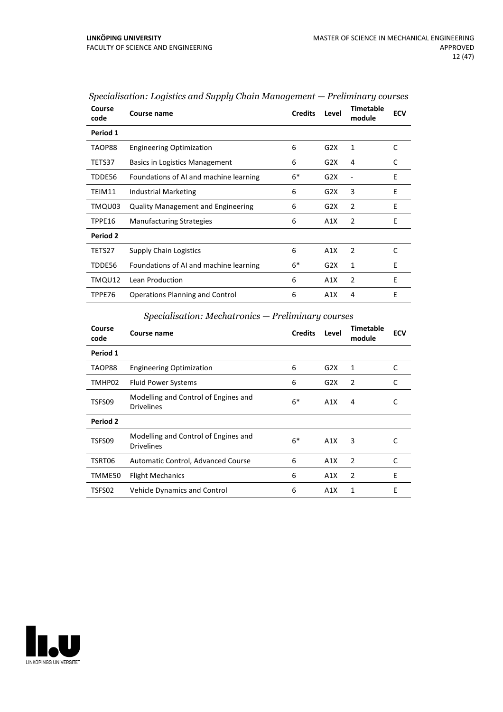| Course<br>code | Course name                               | <b>Credits</b> | Level | <b>Timetable</b><br>module | <b>ECV</b> |
|----------------|-------------------------------------------|----------------|-------|----------------------------|------------|
| Period 1       |                                           |                |       |                            |            |
| TAOP88         | <b>Engineering Optimization</b>           | 6              | G2X   | 1                          | C          |
| TETS37         | Basics in Logistics Management            | 6              | G2X   | 4                          | C          |
| TDDE56         | Foundations of AI and machine learning    | $6*$           | G2X   |                            | E          |
| TEIM11         | Industrial Marketing                      | 6              | G2X   | 3                          | F          |
| TMQU03         | <b>Quality Management and Engineering</b> | 6              | G2X   | 2                          | E          |
| TPPE16         | <b>Manufacturing Strategies</b>           | 6              | A1X   | 2                          | E          |
| Period 2       |                                           |                |       |                            |            |
| TETS27         | <b>Supply Chain Logistics</b>             | 6              | A1X   | 2                          | C          |
| TDDE56         | Foundations of AI and machine learning    | 6*             | G2X   | 1                          | F          |
| TMQU12         | Lean Production                           | 6              | A1X   | 2                          | E          |
| TPPE76         | <b>Operations Planning and Control</b>    | 6              | A1X   | 4                          | E          |

*Specialisation: Logistics and Supply Chain Management — Preliminary courses*

## *Specialisation: Mechatronics — Preliminary courses*

| Course<br>code | Course name                                               | <b>Credits</b> | Level | <b>Timetable</b><br>module | <b>ECV</b> |
|----------------|-----------------------------------------------------------|----------------|-------|----------------------------|------------|
| Period 1       |                                                           |                |       |                            |            |
| TAOP88         | <b>Engineering Optimization</b>                           | 6              | G2X   | 1                          | C          |
| TMHP02         | <b>Fluid Power Systems</b>                                | 6              | G2X   | 2                          | C          |
| TSFS09         | Modelling and Control of Engines and<br><b>Drivelines</b> | $6*$           | A1X   | 4                          | C          |
| Period 2       |                                                           |                |       |                            |            |
| TSFS09         | Modelling and Control of Engines and<br><b>Drivelines</b> | $6*$           | A1X   | 3                          | C          |
| TSRT06         | Automatic Control, Advanced Course                        | 6              | A1X   | $\overline{2}$             | C          |
| TMME50         | <b>Flight Mechanics</b>                                   | 6              | A1X   | 2                          | E          |
| TSFS02         | <b>Vehicle Dynamics and Control</b>                       | 6              | A1X   | 1                          | E          |

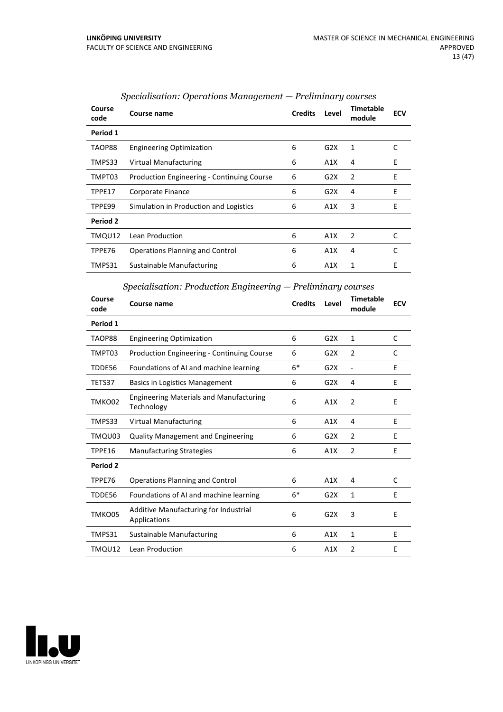| Course<br>code | Course name                                       | <b>Credits</b> | Level | Timetable<br>module | <b>ECV</b> |
|----------------|---------------------------------------------------|----------------|-------|---------------------|------------|
| Period 1       |                                                   |                |       |                     |            |
| TAOP88         | <b>Engineering Optimization</b>                   | 6              | G2X   | 1                   | C          |
| TMPS33         | <b>Virtual Manufacturing</b>                      | 6              | A1X   | 4                   | E          |
| TMPT03         | <b>Production Engineering - Continuing Course</b> | 6              | G2X   | $\overline{2}$      | E          |
| TPPE17         | Corporate Finance                                 | 6              | G2X   | 4                   | E          |
| TPPE99         | Simulation in Production and Logistics            | 6              | A1X   | 3                   | E          |
| Period 2       |                                                   |                |       |                     |            |
| TMQU12         | Lean Production                                   | 6              | A1X   | 2                   | C          |
| TPPE76         | <b>Operations Planning and Control</b>            | 6              | A1X   | 4                   |            |
| TMPS31         | Sustainable Manufacturing                         | 6              | A1X   | 1                   | E          |

## *Specialisation: Operations Management — Preliminary courses*

|  |  | Specialisation: Production Engineering – Preliminary courses |  |
|--|--|--------------------------------------------------------------|--|
|  |  |                                                              |  |

| Course<br>code | <b>Course name</b>                                           | <b>Credits</b> | Level            | Timetable<br>module          | <b>ECV</b> |
|----------------|--------------------------------------------------------------|----------------|------------------|------------------------------|------------|
| Period 1       |                                                              |                |                  |                              |            |
| TAOP88         | <b>Engineering Optimization</b>                              | 6              | G2X              | 1                            | C          |
| TMPT03         | <b>Production Engineering - Continuing Course</b>            | 6              | G2X              | 2                            | C          |
| TDDE56         | Foundations of AI and machine learning                       | $6*$           | G2X              | $\qquad \qquad \blacksquare$ | F          |
| TETS37         | <b>Basics in Logistics Management</b>                        | 6              | G2X              | 4                            | E          |
| TMKO02         | <b>Engineering Materials and Manufacturing</b><br>Technology | 6              | A1X              | $\overline{2}$               | E          |
| TMPS33         | <b>Virtual Manufacturing</b>                                 | 6              | A1X              | 4                            | E          |
| TMQU03         | <b>Quality Management and Engineering</b>                    | 6              | G <sub>2</sub> X | $\overline{2}$               | E          |
| TPPE16         | <b>Manufacturing Strategies</b>                              | 6              | A1X              | $\mathcal{P}$                | F.         |
| Period 2       |                                                              |                |                  |                              |            |
| TPPE76         | <b>Operations Planning and Control</b>                       | 6              | A1X              | 4                            | C          |
| TDDE56         | Foundations of AI and machine learning                       | $6*$           | G <sub>2</sub> X | 1                            | E          |
| TMKO05         | Additive Manufacturing for Industrial<br>Applications        | 6              | G2X              | 3                            | E          |
| TMPS31         | Sustainable Manufacturing                                    | 6              | A1X              | $\mathbf{1}$                 | E          |
| TMQU12         | Lean Production                                              | 6              | A1X              | 2                            | E          |

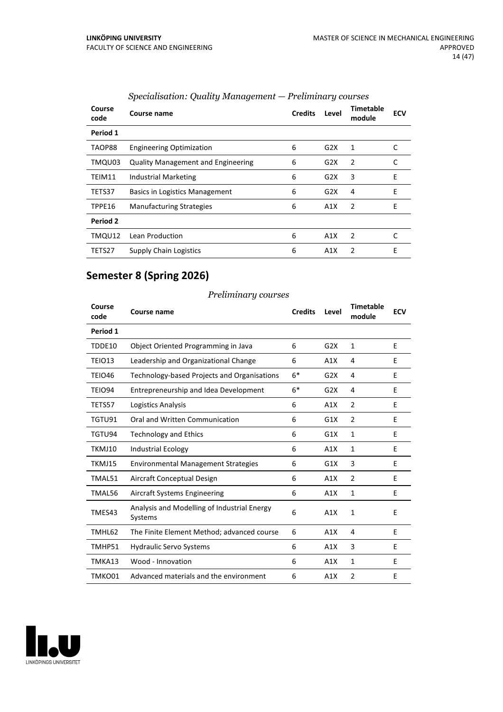| Course<br>code | Course name                               | <b>Credits</b> | Level | Timetable<br>module | <b>ECV</b> |
|----------------|-------------------------------------------|----------------|-------|---------------------|------------|
| Period 1       |                                           |                |       |                     |            |
| TAOP88         | <b>Engineering Optimization</b>           | 6              | G2X   | 1                   | C          |
| TMQU03         | <b>Quality Management and Engineering</b> | 6              | G2X   | 2                   | C          |
| TEIM11         | <b>Industrial Marketing</b>               | 6              | G2X   | 3                   | E          |
| TETS37         | <b>Basics in Logistics Management</b>     | 6              | G2X   | 4                   | F          |
| TPPE16         | <b>Manufacturing Strategies</b>           | 6              | A1X   | 2                   | E          |
| Period 2       |                                           |                |       |                     |            |
| TMQU12         | Lean Production                           | 6              | A1X   | 2                   | C          |
| TETS27         | Supply Chain Logistics                    | 6              | A1X   | 2                   | E          |

## *Specialisation: Quality Management — Preliminary courses*

## **Semester 8 (Spring 2026)**

| Course<br>code | Course name                                            | <b>Credits</b> | Level | <b>Timetable</b><br>module | <b>ECV</b> |
|----------------|--------------------------------------------------------|----------------|-------|----------------------------|------------|
| Period 1       |                                                        |                |       |                            |            |
| TDDE10         | Object Oriented Programming in Java                    | 6              | G2X   | 1                          | E          |
| TEIO13         | Leadership and Organizational Change                   | 6              | A1X   | 4                          | E          |
| <b>TEIO46</b>  | Technology-based Projects and Organisations            | $6*$           | G2X   | 4                          | E          |
| <b>TEIO94</b>  | Entrepreneurship and Idea Development                  | $6*$           | G2X   | 4                          | E          |
| TETS57         | Logistics Analysis                                     | 6              | A1X   | $\overline{2}$             | E          |
| TGTU91         | Oral and Written Communication                         | 6              | G1X   | $\overline{2}$             | E          |
| TGTU94         | <b>Technology and Ethics</b>                           | 6              | G1X   | $\mathbf{1}$               | E          |
| TKMJ10         | <b>Industrial Ecology</b>                              | 6              | A1X   | $\mathbf{1}$               | F          |
| TKMJ15         | <b>Environmental Management Strategies</b>             | 6              | G1X   | 3                          | E          |
| TMAL51         | Aircraft Conceptual Design                             | 6              | A1X   | 2                          | E          |
| TMAL56         | Aircraft Systems Engineering                           | 6              | A1X   | $\mathbf{1}$               | F          |
| TMES43         | Analysis and Modelling of Industrial Energy<br>Systems | 6              | A1X   | $\mathbf{1}$               | E          |
| TMHL62         | The Finite Element Method; advanced course             | 6              | A1X   | 4                          | E          |
| TMHP51         | <b>Hydraulic Servo Systems</b>                         | 6              | A1X   | 3                          | E          |
| TMKA13         | Wood - Innovation                                      | 6              | A1X   | $\mathbf{1}$               | E          |
| TMKO01         | Advanced materials and the environment                 | 6              | A1X   | $\mathfrak{p}$             | F          |

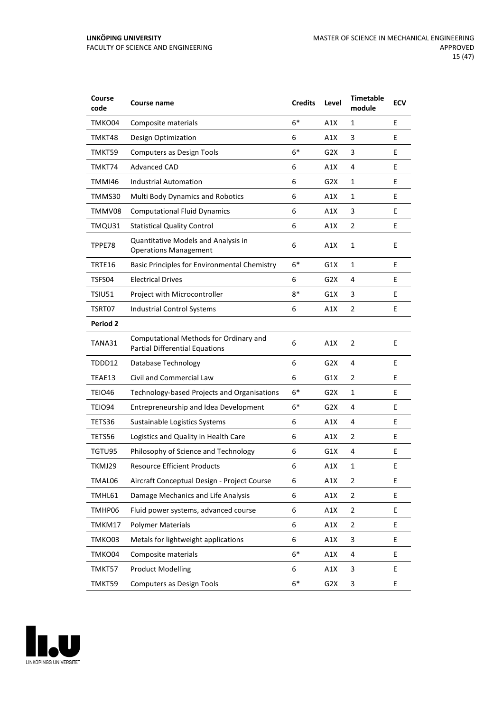| Course<br>code  | Course name                                                                     | <b>Credits</b>   | Level            | <b>Timetable</b><br>module | <b>ECV</b> |
|-----------------|---------------------------------------------------------------------------------|------------------|------------------|----------------------------|------------|
| TMKO04          | Composite materials                                                             | $6*$             | A1X              | 1                          | E          |
| TMKT48          | Design Optimization                                                             | 6                | A1X              | 3                          | E          |
| TMKT59          | <b>Computers as Design Tools</b>                                                | $6*$             | G2X              | 3                          | E          |
| TMKT74          | Advanced CAD                                                                    | 6                | A1X              | 4                          | E          |
| TMMI46          | <b>Industrial Automation</b>                                                    | 6                | G2X              | 1                          | E          |
| TMMS30          | Multi Body Dynamics and Robotics                                                | 6                | A1X              | 1                          | E          |
| TMMV08          | <b>Computational Fluid Dynamics</b>                                             | 6                | A1X              | 3                          | E          |
| TMQU31          | <b>Statistical Quality Control</b>                                              | 6                | A1X              | $\overline{2}$             | E          |
| TPPE78          | Quantitative Models and Analysis in<br><b>Operations Management</b>             | 6                | A1X              | 1                          | E          |
| TRTE16          | <b>Basic Principles for Environmental Chemistry</b>                             | $6*$             | G1X              | 1                          | E          |
| TSFS04          | <b>Electrical Drives</b>                                                        | 6                | G <sub>2</sub> X | 4                          | E          |
| TSIU51          | Project with Microcontroller                                                    | $8*$             | G1X              | 3                          | E          |
| TSRT07          | Industrial Control Systems                                                      | 6                | A1X              | $\overline{2}$             | E          |
| <b>Period 2</b> |                                                                                 |                  |                  |                            |            |
| TANA31          | Computational Methods for Ordinary and<br><b>Partial Differential Equations</b> | 6                | A1X              | 2                          | E          |
| TDDD12          | Database Technology                                                             | 6                | G2X              | 4                          | E          |
| TEAE13          | Civil and Commercial Law                                                        | 6                | G1X              | $\overline{2}$             | E          |
| TEIO46          | Technology-based Projects and Organisations                                     | $6*$             | G2X              | 1                          | E          |
| TEIO94          | Entrepreneurship and Idea Development                                           | $6*$             | G <sub>2</sub> X | 4                          | E          |
| TETS36          | Sustainable Logistics Systems                                                   | 6                | A1X              | 4                          | E          |
| TETS56          | Logistics and Quality in Health Care                                            | 6                | A1X              | 2                          | E          |
| TGTU95          | Philosophy of Science and Technology                                            | 6                | G1X              | 4                          | E          |
| TKMJ29          | <b>Resource Efficient Products</b>                                              | 6                | A1X              | $\mathbf{1}$               | E          |
| TMAL06          | Aircraft Conceptual Design - Project Course                                     | 6                | A1X              | $\overline{2}$             | E          |
| TMHL61          | Damage Mechanics and Life Analysis                                              | 6                | A1X              | $\overline{2}$             | E          |
| TMHP06          | Fluid power systems, advanced course                                            | 6                | A1X              | $\overline{2}$             | E.         |
| TMKM17          | <b>Polymer Materials</b>                                                        | $\boldsymbol{6}$ | A1X              | $\overline{2}$             | E          |
| TMKO03          | Metals for lightweight applications                                             | 6                | A1X              | $\ensuremath{\mathsf{3}}$  | E          |
| TMKO04          | Composite materials                                                             | $6*$             | A1X              | 4                          | E.         |
| TMKT57          | <b>Product Modelling</b>                                                        | 6                | A1X              | $\ensuremath{\mathsf{3}}$  | E          |
| TMKT59          | <b>Computers as Design Tools</b>                                                | $6*$             | G <sub>2</sub> X | 3                          | E          |

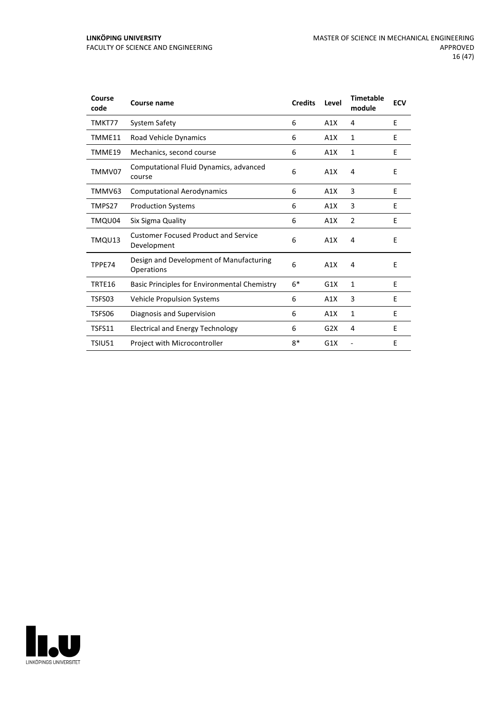| Course<br>code | Course name                                                | <b>Credits</b> | Level | <b>Timetable</b><br>module | <b>ECV</b> |
|----------------|------------------------------------------------------------|----------------|-------|----------------------------|------------|
| TMKT77         | <b>System Safety</b>                                       | 6              | A1X   | 4                          | E          |
| TMME11         | Road Vehicle Dynamics                                      | 6              | A1X   | $\mathbf{1}$               | F          |
| TMME19         | Mechanics, second course                                   | 6              | A1X   | 1                          | E          |
| TMMV07         | Computational Fluid Dynamics, advanced<br>course           | 6              | A1X   | 4                          | E          |
| TMMV63         | <b>Computational Aerodynamics</b>                          | 6              | A1X   | 3                          | E          |
| TMPS27         | <b>Production Systems</b>                                  | 6              | A1X   | 3                          | F          |
| TMQU04         | Six Sigma Quality                                          | 6              | A1X   | $\overline{2}$             | E          |
| TMQU13         | <b>Customer Focused Product and Service</b><br>Development | 6              | A1X   | 4                          | E          |
| TPPE74         | Design and Development of Manufacturing<br>Operations      | 6              | A1X   | 4                          | E          |
| TRTE16         | Basic Principles for Environmental Chemistry               | $6*$           | G1X   | $\mathbf{1}$               | F          |
| TSFS03         | <b>Vehicle Propulsion Systems</b>                          | 6              | A1X   | 3                          | E          |
| TSFS06         | Diagnosis and Supervision                                  | 6              | A1X   | 1                          | E          |
| TSFS11         | <b>Electrical and Energy Technology</b>                    | 6              | G2X   | 4                          | E          |
| <b>TSIU51</b>  | Project with Microcontroller                               | $8*$           | G1X   |                            | E          |

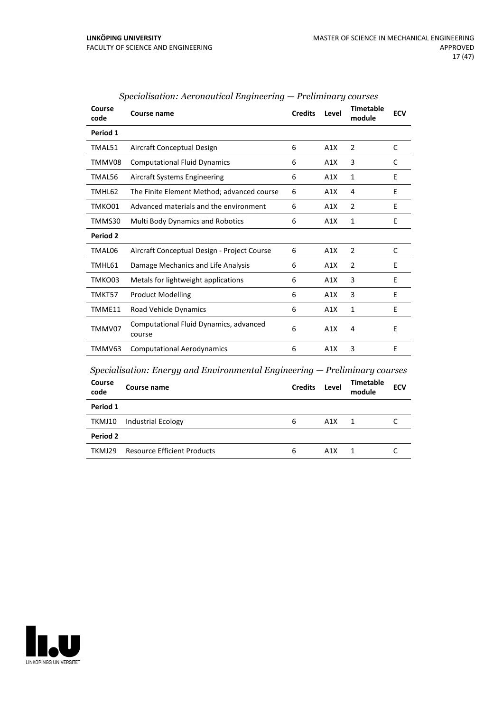| Course<br>code | Course name                                                                                        | <b>Credits</b> | Level | <b>Timetable</b><br>module | <b>ECV</b> |
|----------------|----------------------------------------------------------------------------------------------------|----------------|-------|----------------------------|------------|
| Period 1       |                                                                                                    |                |       |                            |            |
| TMAL51         | Aircraft Conceptual Design                                                                         | 6              | A1X   | $\overline{2}$             | C          |
| TMMV08         | <b>Computational Fluid Dynamics</b>                                                                | 6              | A1X   | 3                          | C          |
| TMAL56         | <b>Aircraft Systems Engineering</b>                                                                | 6              | A1X   | $\mathbf{1}$               | E          |
| TMHL62         | The Finite Element Method; advanced course                                                         | 6              | A1X   | 4                          | E          |
| TMKO01         | Advanced materials and the environment                                                             | 6              | A1X   | 2                          | E          |
| TMMS30         | <b>Multi Body Dynamics and Robotics</b>                                                            | 6              | A1X   | $\mathbf{1}$               | F          |
| Period 2       |                                                                                                    |                |       |                            |            |
| TMAL06         | Aircraft Conceptual Design - Project Course                                                        | 6              | A1X   | $\overline{2}$             | C          |
| TMHL61         | Damage Mechanics and Life Analysis                                                                 | 6              | A1X   | $\overline{2}$             | E          |
| TMKO03         | Metals for lightweight applications                                                                | 6              | A1X   | 3                          | E          |
| TMKT57         | <b>Product Modelling</b>                                                                           | 6              | A1X   | 3                          | E          |
| TMME11         | Road Vehicle Dynamics                                                                              | 6              | A1X   | $\mathbf{1}$               | E          |
| TMMV07         | Computational Fluid Dynamics, advanced<br>course                                                   | 6              | A1X   | $\overline{4}$             | E          |
| TMMV63         | <b>Computational Aerodynamics</b>                                                                  | 6              | A1X   | 3                          | E          |
| Course<br>code | Specialisation: Energy and Environmental Engineering $-$ Preliminary courses<br><b>Course name</b> | <b>Credits</b> | Level | Timetable<br>module        | <b>ECV</b> |

TKMJ10 Industrial Ecology 6 A1X 1 C

TKMJ29 Resource Efficient Products 6 A1X 1 C

## *Specialisation: Aeronautical Engineering — Preliminary courses*



**Period 2**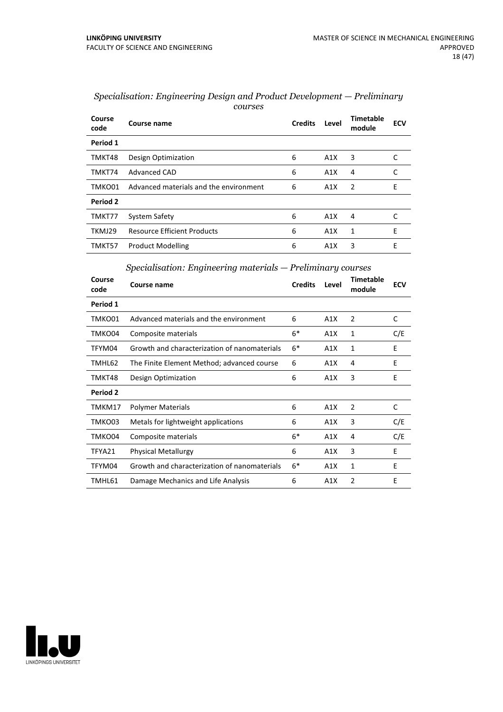| Course<br>code | Course name                            | <b>Credits</b> | Level | Timetable<br>module | <b>ECV</b> |
|----------------|----------------------------------------|----------------|-------|---------------------|------------|
| Period 1       |                                        |                |       |                     |            |
| TMKT48         | Design Optimization                    | 6              | A1X   | 3                   | C          |
| TMKT74         | Advanced CAD                           | 6              | A1X   | 4                   | C          |
| TMKO01         | Advanced materials and the environment | 6              | A1X   | 2                   | E          |
| Period 2       |                                        |                |       |                     |            |
| TMKT77         | System Safety                          | 6              | A1X   | 4                   |            |
| TKMJ29         | <b>Resource Efficient Products</b>     | 6              | A1X   | 1                   | F          |
| TMKT57         | <b>Product Modelling</b>               | 6              | A1X   | 3                   | E          |

| Specialisation: Engineering Design and Product Development – Preliminary |  |
|--------------------------------------------------------------------------|--|
| courses                                                                  |  |

## *Specialisation: Engineering materials — Preliminary courses*

| Course<br>code | Course name                                  | <b>Credits</b> | Level | <b>Timetable</b><br>module | <b>ECV</b> |
|----------------|----------------------------------------------|----------------|-------|----------------------------|------------|
| Period 1       |                                              |                |       |                            |            |
| TMKO01         | Advanced materials and the environment       | 6              | A1X   | 2                          | C          |
| TMKO04         | Composite materials                          | $6*$           | A1X   | 1                          | C/E        |
| TFYM04         | Growth and characterization of nanomaterials | $6*$           | A1X   | 1                          | E          |
| TMHL62         | The Finite Element Method; advanced course   | 6              | A1X   | 4                          | E          |
| TMKT48         | Design Optimization                          | 6              | A1X   | 3                          | E          |
| Period 2       |                                              |                |       |                            |            |
| TMKM17         | <b>Polymer Materials</b>                     | 6              | A1X   | 2                          | C          |
| TMKO03         | Metals for lightweight applications          | 6              | A1X   | 3                          | C/E        |
| TMKO04         | Composite materials                          | $6*$           | A1X   | 4                          | C/E        |
| TFYA21         | <b>Physical Metallurgy</b>                   | 6              | A1X   | 3                          | E          |
| TFYM04         | Growth and characterization of nanomaterials | $6*$           | A1X   | 1                          | E          |
| TMHL61         | Damage Mechanics and Life Analysis           | 6              | A1X   | $\overline{2}$             | E          |

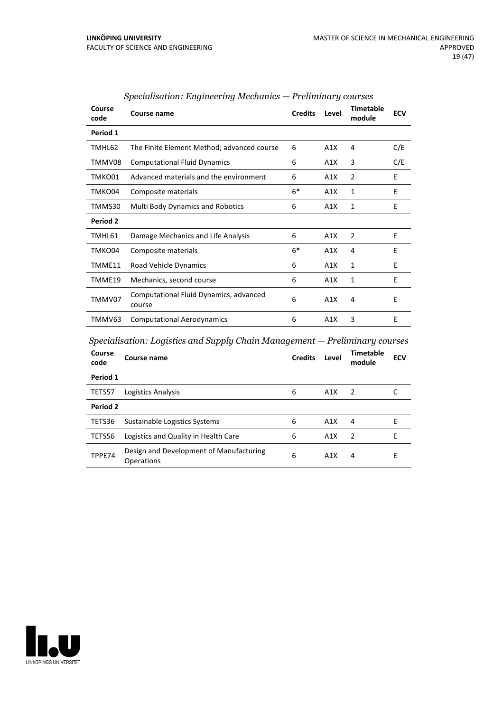| Course<br>code | Course name                                      | <b>Credits</b> | Level | <b>Timetable</b><br>module | <b>ECV</b> |
|----------------|--------------------------------------------------|----------------|-------|----------------------------|------------|
| Period 1       |                                                  |                |       |                            |            |
| TMHL62         | The Finite Element Method; advanced course       | 6              | A1X   | 4                          | C/E        |
| TMMV08         | <b>Computational Fluid Dynamics</b>              | 6              | A1X   | 3                          | C/E        |
| TMKO01         | Advanced materials and the environment           | 6              | A1X   | 2                          | E          |
| TMKO04         | Composite materials                              | $6*$           | A1X   | 1                          | E          |
| TMMS30         | <b>Multi Body Dynamics and Robotics</b>          | 6              | A1X   | 1                          | F          |
| Period 2       |                                                  |                |       |                            |            |
| TMHL61         | Damage Mechanics and Life Analysis               | 6              | A1X   | $\mathcal{P}$              | F          |
| TMKO04         | Composite materials                              | $6*$           | A1X   | 4                          | E          |
| TMME11         | Road Vehicle Dynamics                            | 6              | A1X   | 1                          | E          |
| TMME19         | Mechanics, second course                         | 6              | A1X   | 1                          | E          |
| TMMV07         | Computational Fluid Dynamics, advanced<br>course | 6              | A1X   | 4                          | E          |
| TMMV63         | <b>Computational Aerodynamics</b>                | 6              | A1X   | 3                          | E          |

## *Specialisation: Engineering Mechanics — Preliminary courses*

*Specialisation: Logistics and Supply Chain Management — Preliminary courses*

| Course<br>code | Course name                                           | <b>Credits</b> | Level | Timetable<br>module | <b>ECV</b> |
|----------------|-------------------------------------------------------|----------------|-------|---------------------|------------|
| Period 1       |                                                       |                |       |                     |            |
| TETS57         | Logistics Analysis                                    | 6              | A1X   | 2                   |            |
| Period 2       |                                                       |                |       |                     |            |
| TETS36         | Sustainable Logistics Systems                         | 6              | A1X   | 4                   | F          |
| TETS56         | Logistics and Quality in Health Care                  | 6              | A1X   | $\mathcal{P}$       | F          |
| TPPE74         | Design and Development of Manufacturing<br>Operations | 6              | A1X   | 4                   | E          |

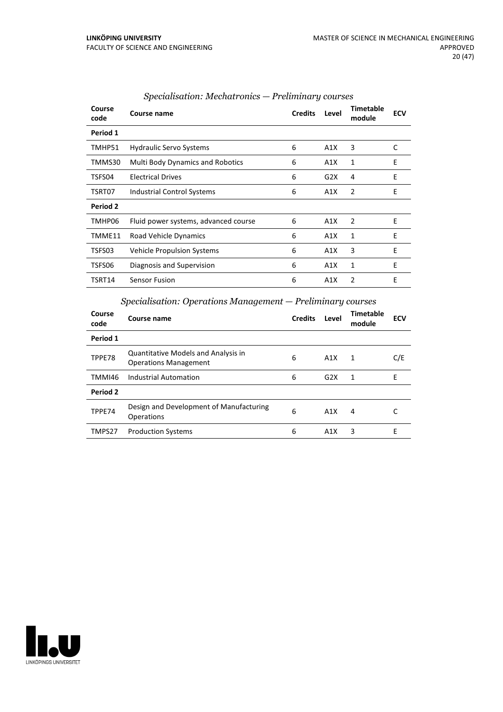| Course<br>code | Course name                             | <b>Credits</b> | Level | <b>Timetable</b><br>module | <b>ECV</b> |
|----------------|-----------------------------------------|----------------|-------|----------------------------|------------|
| Period 1       |                                         |                |       |                            |            |
| TMHP51         | <b>Hydraulic Servo Systems</b>          | 6              | A1X   | 3                          | C          |
| TMMS30         | <b>Multi Body Dynamics and Robotics</b> | 6              | A1X   | 1                          | E          |
| TSFS04         | <b>Electrical Drives</b>                | 6              | G2X   | 4                          | Ε          |
| TSRT07         | Industrial Control Systems              | 6              | A1X   | 2                          | E          |
| Period 2       |                                         |                |       |                            |            |
| TMHP06         | Fluid power systems, advanced course    | 6              | A1X   | 2                          | E          |
| TMME11         | Road Vehicle Dynamics                   | 6              | A1X   | 1                          | E          |
| TSFS03         | Vehicle Propulsion Systems              | 6              | A1X   | 3                          | E          |
| TSFS06         | Diagnosis and Supervision               | 6              | A1X   | 1                          | E          |
| TSRT14         | <b>Sensor Fusion</b>                    | 6              | A1X   | 2                          | E          |

## *Specialisation: Mechatronics — Preliminary courses*

## *Specialisation: Operations Management — Preliminary courses*

| Course<br>code | Course name                                                                | <b>Credits</b> | Level            | Timetable<br>module | <b>ECV</b> |
|----------------|----------------------------------------------------------------------------|----------------|------------------|---------------------|------------|
| Period 1       |                                                                            |                |                  |                     |            |
| TPPE78         | <b>Quantitative Models and Analysis in</b><br><b>Operations Management</b> | 6              | A1X              | 1                   | C/E        |
| TMMI46         | Industrial Automation                                                      | 6              | G2X              | 1                   | E          |
| Period 2       |                                                                            |                |                  |                     |            |
| TPPE74         | Design and Development of Manufacturing<br>Operations                      | 6              | A1X              | 4                   |            |
| TMPS27         | <b>Production Systems</b>                                                  | 6              | A <sub>1</sub> X | 3                   | F          |

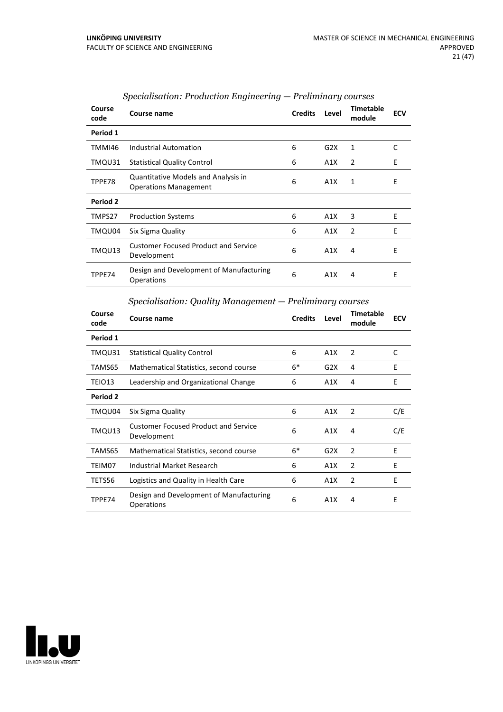| Course<br>code | Course name                                                         | <b>Credits</b> | Level | <b>Timetable</b><br>module | <b>ECV</b> |
|----------------|---------------------------------------------------------------------|----------------|-------|----------------------------|------------|
| Period 1       |                                                                     |                |       |                            |            |
| TMMI46         | Industrial Automation                                               | 6              | G2X   | 1                          | C          |
| TMQU31         | <b>Statistical Quality Control</b>                                  | 6              | A1X   | 2                          | E          |
| TPPE78         | Quantitative Models and Analysis in<br><b>Operations Management</b> | 6              | A1X   | 1                          | E          |
| Period 2       |                                                                     |                |       |                            |            |
| TMPS27         | <b>Production Systems</b>                                           | 6              | A1X   | 3                          | E          |
| TMQU04         | Six Sigma Quality                                                   | 6              | A1X   | 2                          | E          |
| TMQU13         | <b>Customer Focused Product and Service</b><br>Development          | 6              | A1X   | 4                          | E          |
| TPPE74         | Design and Development of Manufacturing<br>Operations               | 6              | A1X   | 4                          | E          |

## *Specialisation: Production Engineering — Preliminary courses*

## *Specialisation: Quality Management — Preliminary courses*

| Course<br>code | Course name                                                | <b>Credits</b> | Level | <b>Timetable</b><br>module | <b>ECV</b> |
|----------------|------------------------------------------------------------|----------------|-------|----------------------------|------------|
| Period 1       |                                                            |                |       |                            |            |
| TMQU31         | <b>Statistical Quality Control</b>                         | 6              | A1X   | $\overline{2}$             | C          |
| TAMS65         | Mathematical Statistics, second course                     | $6*$           | G2X   | 4                          | E          |
| TEIO13         | Leadership and Organizational Change                       | 6              | A1X   | 4                          | E          |
| Period 2       |                                                            |                |       |                            |            |
| TMQU04         | Six Sigma Quality                                          | 6              | A1X   | 2                          | C/E        |
| TMQU13         | <b>Customer Focused Product and Service</b><br>Development | 6              | A1X   | 4                          | C/E        |
| TAMS65         | Mathematical Statistics, second course                     | $6*$           | G2X   | $\overline{2}$             | F          |
| TEIM07         | Industrial Market Research                                 | 6              | A1X   | 2                          | E          |
| TETS56         | Logistics and Quality in Health Care                       | 6              | A1X   | $\overline{2}$             | E          |
| TPPE74         | Design and Development of Manufacturing<br>Operations      | 6              | A1X   | 4                          | E          |

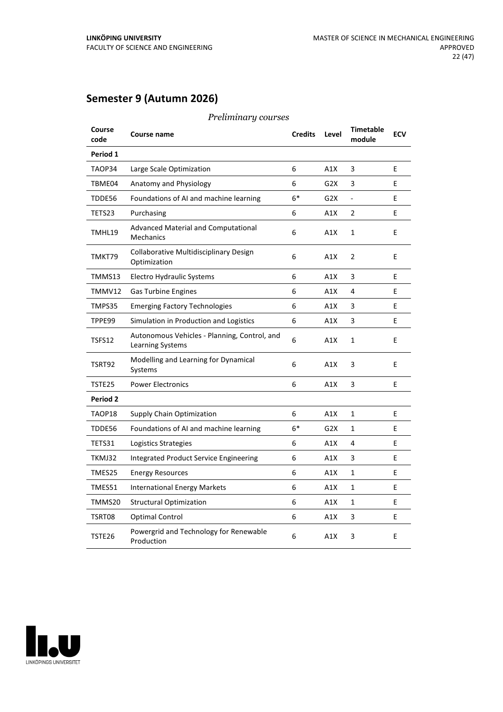## **Semester 9 (Autumn 2026)**

| Course<br>code | Course name                                                      | <b>Credits</b> | Level            | <b>Timetable</b><br>module | <b>ECV</b> |
|----------------|------------------------------------------------------------------|----------------|------------------|----------------------------|------------|
| Period 1       |                                                                  |                |                  |                            |            |
| TAOP34         | Large Scale Optimization                                         | 6              | A1X              | 3                          | E          |
| TBME04         | Anatomy and Physiology                                           | 6              | G2X              | 3                          | E          |
| TDDE56         | Foundations of AI and machine learning                           | $6*$           | G2X              | $\overline{a}$             | E          |
| TETS23         | Purchasing                                                       | 6              | A1X              | $\overline{2}$             | E          |
| TMHL19         | Advanced Material and Computational<br>Mechanics                 | 6              | A1X              | 1                          | E          |
| TMKT79         | Collaborative Multidisciplinary Design<br>Optimization           | 6              | A1X              | 2                          | E          |
| TMMS13         | <b>Electro Hydraulic Systems</b>                                 | 6              | A1X              | 3                          | E          |
| TMMV12         | <b>Gas Turbine Engines</b>                                       | 6              | A1X              | 4                          | E          |
| TMPS35         | <b>Emerging Factory Technologies</b>                             | 6              | A1X              | 3                          | E          |
| TPPE99         | Simulation in Production and Logistics                           | 6              | A1X              | 3                          | E          |
| TSFS12         | Autonomous Vehicles - Planning, Control, and<br>Learning Systems | 6              | A1X              | $\mathbf{1}$               | E          |
| TSRT92         | Modelling and Learning for Dynamical<br>Systems                  | 6              | A1X              | 3                          | E          |
| TSTE25         | <b>Power Electronics</b>                                         | 6              | A1X              | 3                          | E          |
| Period 2       |                                                                  |                |                  |                            |            |
| TAOP18         | <b>Supply Chain Optimization</b>                                 | 6              | A1X              | $\mathbf{1}$               | F          |
| TDDE56         | Foundations of AI and machine learning                           | $6*$           | G <sub>2</sub> X | 1                          | E          |
| TETS31         | Logistics Strategies                                             | 6              | A1X              | 4                          | E          |
| TKMJ32         | Integrated Product Service Engineering                           | 6              | A1X              | 3                          | E          |
| TMES25         | <b>Energy Resources</b>                                          | 6              | A1X              | 1                          | E          |
| TMES51         | <b>International Energy Markets</b>                              | 6              | A1X              | $\mathbf{1}$               | E          |
| TMMS20         | <b>Structural Optimization</b>                                   | 6              | A1X              | 1                          | E          |
| TSRT08         | Optimal Control                                                  | 6              | A1X              | 3                          | E          |
| TSTE26         | Powergrid and Technology for Renewable<br>Production             | 6              | A1X              | 3                          | E          |

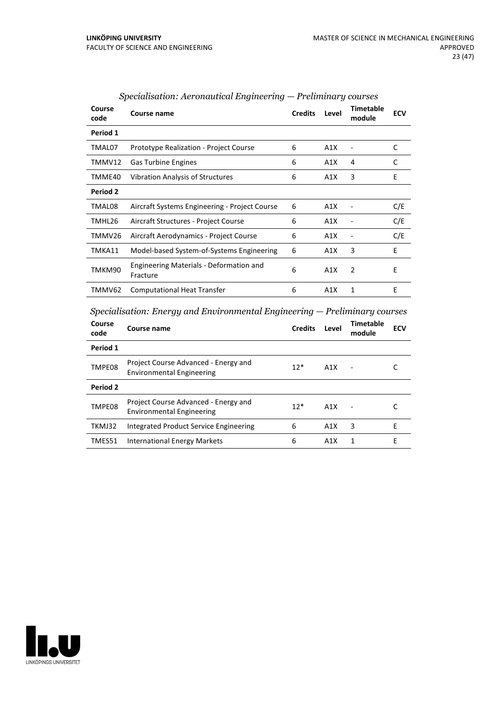| Course<br>code | Course name                                         | <b>Credits</b> | Level | <b>Timetable</b><br>module | <b>ECV</b> |
|----------------|-----------------------------------------------------|----------------|-------|----------------------------|------------|
| Period 1       |                                                     |                |       |                            |            |
| TMAL07         | <b>Prototype Realization - Project Course</b>       | 6              | A1X   |                            | C          |
| TMMV12         | <b>Gas Turbine Engines</b>                          | 6              | A1X   | 4                          | C          |
| TMME40         | <b>Vibration Analysis of Structures</b>             | 6              | A1X   | 3                          | E          |
| Period 2       |                                                     |                |       |                            |            |
| TMAL08         | Aircraft Systems Engineering - Project Course       | 6              | A1X   |                            | C/E        |
| TMHL26         | Aircraft Structures - Project Course                | 6              | A1X   |                            | C/E        |
| TMMV26         | Aircraft Aerodynamics - Project Course              | 6              | A1X   | ۰                          | C/E        |
| TMKA11         | Model-based System-of-Systems Engineering           | 6              | A1X   | 3                          | E          |
| TMKM90         | Engineering Materials - Deformation and<br>Fracture | 6              | A1X   | 2                          | E          |
| TMMV62         | <b>Computational Heat Transfer</b>                  | 6              | A1X   | 1                          | E          |

## *Specialisation: Aeronautical Engineering — Preliminary courses*

*Specialisation: Energy and Environmental Engineering — Preliminary courses*

| Course<br>code  | Course name                                                              | <b>Credits</b> | Level            | <b>Timetable</b><br>module | <b>ECV</b> |
|-----------------|--------------------------------------------------------------------------|----------------|------------------|----------------------------|------------|
| Period 1        |                                                                          |                |                  |                            |            |
| TMPE08          | Project Course Advanced - Energy and<br><b>Environmental Engineering</b> | $12*$          | A1X              |                            |            |
| <b>Period 2</b> |                                                                          |                |                  |                            |            |
| TMPE08          | Project Course Advanced - Energy and<br><b>Environmental Engineering</b> | $12*$          | A1X              |                            |            |
| TKMJ32          | Integrated Product Service Engineering                                   | 6              | A1X              | 3                          | F          |
| TMES51          | International Energy Markets                                             | 6              | A <sub>1</sub> X | 1                          | F          |
|                 |                                                                          |                |                  |                            |            |

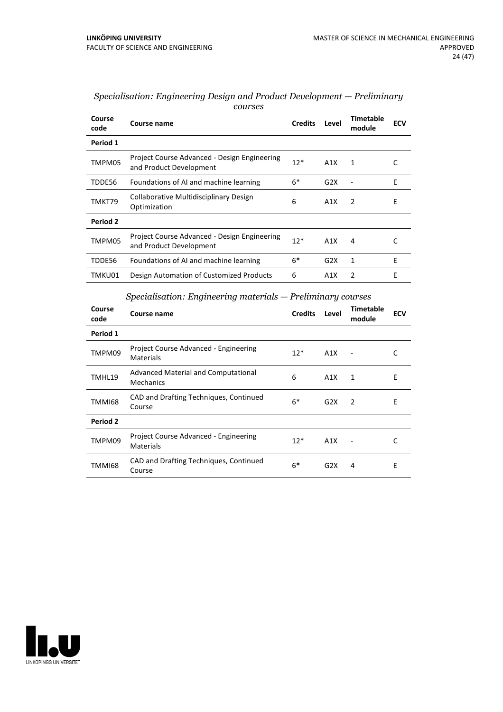| Course<br>code                                                | Course name                                                             | <b>Credits</b> | Level | <b>Timetable</b><br>module | <b>ECV</b> |  |
|---------------------------------------------------------------|-------------------------------------------------------------------------|----------------|-------|----------------------------|------------|--|
| Period 1                                                      |                                                                         |                |       |                            |            |  |
| TMPM05                                                        | Project Course Advanced - Design Engineering<br>and Product Development | $12*$          | A1X   | 1                          | C          |  |
| TDDE56                                                        | Foundations of AI and machine learning                                  | $6*$           | G2X   |                            | E          |  |
| TMKT79                                                        | Collaborative Multidisciplinary Design<br>Optimization                  | 6              | A1X   | 2                          | E          |  |
| Period 2                                                      |                                                                         |                |       |                            |            |  |
| TMPM05                                                        | Project Course Advanced - Design Engineering<br>and Product Development | $12*$          | A1X   | 4                          | C          |  |
| TDDE56                                                        | Foundations of AI and machine learning                                  | $6*$           | G2X   | 1                          | E          |  |
| TMKU01                                                        | Design Automation of Customized Products                                | 6              | A1X   | 2                          | E          |  |
| $Specialisation: Engineering materials - Preliminary courses$ |                                                                         |                |       |                            |            |  |
| Course                                                        | Course name                                                             | Crodite Loval  |       | <b>Timetable</b>           | ECV        |  |

#### *Specialisation: Engineering Design and Product Development — Preliminary courses*

| Course<br>code | Course name                                        | <b>Credits</b> | Level | <b>Timetable</b><br>module | <b>ECV</b> |
|----------------|----------------------------------------------------|----------------|-------|----------------------------|------------|
| Period 1       |                                                    |                |       |                            |            |
| TMPM09         | Project Course Advanced - Engineering<br>Materials | $12*$          | A1X   |                            | C          |
| TMHL19         | Advanced Material and Computational<br>Mechanics   | 6              | A1X   | 1                          | Ε          |
| TMMI68         | CAD and Drafting Techniques, Continued<br>Course   | $6*$           | G2X   | 2                          | E          |
| Period 2       |                                                    |                |       |                            |            |
| TMPM09         | Project Course Advanced - Engineering<br>Materials | $12*$          | A1X   |                            | C          |
| TMMI68         | CAD and Drafting Techniques, Continued<br>Course   | $6*$           | G2X   | 4                          | E          |

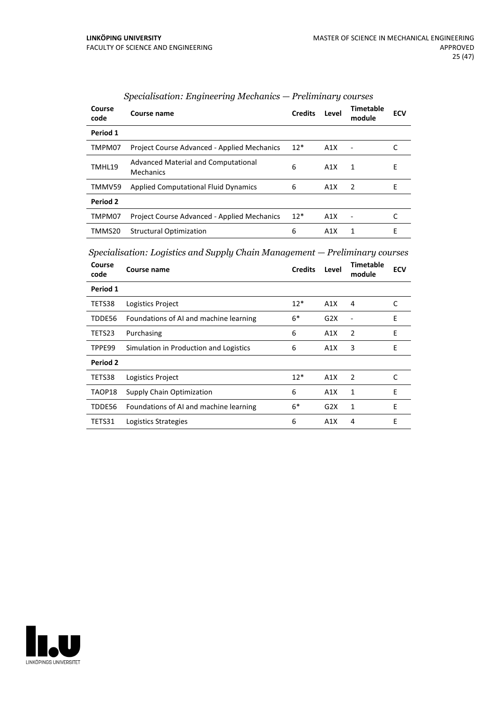| Course<br>code | Course name                                             | <b>Credits</b> | Level | Timetable<br>module | <b>ECV</b> |
|----------------|---------------------------------------------------------|----------------|-------|---------------------|------------|
| Period 1       |                                                         |                |       |                     |            |
| TMPM07         | <b>Project Course Advanced - Applied Mechanics</b>      | $12*$          | A1X   |                     |            |
| TMHL19         | <b>Advanced Material and Computational</b><br>Mechanics | 6              | A1X   | 1                   | E          |
| TMMV59         | <b>Applied Computational Fluid Dynamics</b>             | 6              | A1X   | 2                   | F          |
| Period 2       |                                                         |                |       |                     |            |
| TMPM07         | Project Course Advanced - Applied Mechanics             | $12*$          | A1X   |                     |            |
| TMMS20         | <b>Structural Optimization</b>                          | 6              | A1X   | 1                   | E          |

## *Specialisation: Engineering Mechanics — Preliminary courses*

*Specialisation: Logistics and Supply Chain Management — Preliminary courses*

| Course<br>code | Course name                            | <b>Credits</b> | Level | <b>Timetable</b><br>module | <b>ECV</b> |
|----------------|----------------------------------------|----------------|-------|----------------------------|------------|
| Period 1       |                                        |                |       |                            |            |
| TETS38         | Logistics Project                      | $12*$          | A1X   | 4                          | C          |
| TDDE56         | Foundations of AI and machine learning | $6*$           | G2X   |                            | E          |
| TETS23         | Purchasing                             | 6              | A1X   | 2                          | E          |
| TPPE99         | Simulation in Production and Logistics | 6              | A1X   | 3                          | E          |
| Period 2       |                                        |                |       |                            |            |
| TETS38         | Logistics Project                      | $12*$          | A1X   | 2                          | C          |
| TAOP18         | <b>Supply Chain Optimization</b>       | 6              | A1X   | 1                          | F          |
| TDDE56         | Foundations of AI and machine learning | $6*$           | G2X   | 1                          | E          |
| TETS31         | Logistics Strategies                   | 6              | A1X   | 4                          | E          |

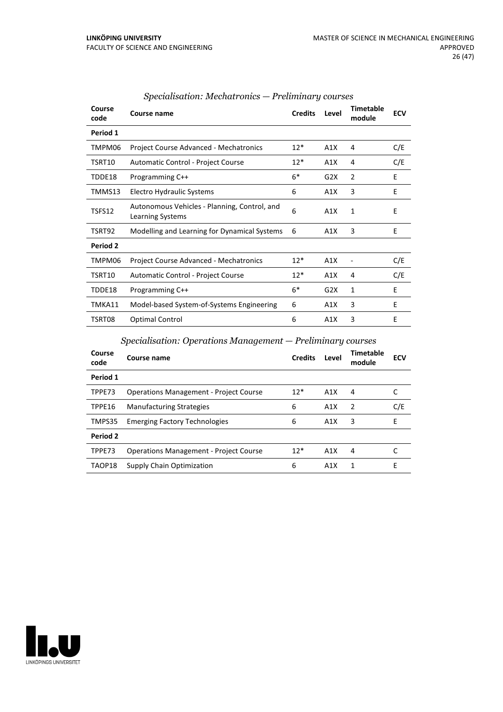| Period 1<br>C/E<br>$12*$<br><b>Project Course Advanced - Mechatronics</b><br>A1X<br>TMPM06<br>4<br>C/E<br>$12*$<br>TSRT10<br>Automatic Control - Project Course<br>A1X<br>4<br>$6*$<br>E<br>2<br>Programming C++<br>G2X<br>TDDE18<br>3<br>E<br>TMMS13<br>Electro Hydraulic Systems<br>6<br>A1X<br>Autonomous Vehicles - Planning, Control, and<br>6<br>TSFS12<br>A1X<br>1<br>E<br>Learning Systems<br>3<br>E<br>Modelling and Learning for Dynamical Systems<br>TSRT92<br>6<br>A1X<br><b>Period 2</b><br>C/E<br><b>Project Course Advanced - Mechatronics</b><br>$12*$<br>A1X<br>TMPM06<br>C/E<br>$12*$<br>A1X<br>TSRT10<br>Automatic Control - Project Course<br>4 |
|---------------------------------------------------------------------------------------------------------------------------------------------------------------------------------------------------------------------------------------------------------------------------------------------------------------------------------------------------------------------------------------------------------------------------------------------------------------------------------------------------------------------------------------------------------------------------------------------------------------------------------------------------------------------|
|                                                                                                                                                                                                                                                                                                                                                                                                                                                                                                                                                                                                                                                                     |
|                                                                                                                                                                                                                                                                                                                                                                                                                                                                                                                                                                                                                                                                     |
|                                                                                                                                                                                                                                                                                                                                                                                                                                                                                                                                                                                                                                                                     |
|                                                                                                                                                                                                                                                                                                                                                                                                                                                                                                                                                                                                                                                                     |
|                                                                                                                                                                                                                                                                                                                                                                                                                                                                                                                                                                                                                                                                     |
|                                                                                                                                                                                                                                                                                                                                                                                                                                                                                                                                                                                                                                                                     |
|                                                                                                                                                                                                                                                                                                                                                                                                                                                                                                                                                                                                                                                                     |
|                                                                                                                                                                                                                                                                                                                                                                                                                                                                                                                                                                                                                                                                     |
|                                                                                                                                                                                                                                                                                                                                                                                                                                                                                                                                                                                                                                                                     |
|                                                                                                                                                                                                                                                                                                                                                                                                                                                                                                                                                                                                                                                                     |
| $6*$<br>E<br>G2X<br>1<br>TDDE18<br>Programming C++                                                                                                                                                                                                                                                                                                                                                                                                                                                                                                                                                                                                                  |
| 3<br>E<br>TMKA11<br>Model-based System-of-Systems Engineering<br>6<br>A1X                                                                                                                                                                                                                                                                                                                                                                                                                                                                                                                                                                                           |
| 3<br>Е<br>Optimal Control<br>TSRT08<br>6<br>A1X                                                                                                                                                                                                                                                                                                                                                                                                                                                                                                                                                                                                                     |

## *Specialisation: Mechatronics — Preliminary courses*

*Specialisation: Operations Management — Preliminary courses*

| Course<br>code | Course name                                   | <b>Credits</b> | Level | Timetable<br>module | <b>ECV</b> |
|----------------|-----------------------------------------------|----------------|-------|---------------------|------------|
| Period 1       |                                               |                |       |                     |            |
| TPPE73         | <b>Operations Management - Project Course</b> | $12*$          | A1X   | 4                   |            |
| TPPE16         | <b>Manufacturing Strategies</b>               | 6              | A1X   | $\mathcal{P}$       | C/E        |
| TMPS35         | <b>Emerging Factory Technologies</b>          | 6              | A1X   | 3                   | F          |
| Period 2       |                                               |                |       |                     |            |
| TPPE73         | <b>Operations Management - Project Course</b> | $12*$          | A1X   | 4                   |            |
| TAOP18         | <b>Supply Chain Optimization</b>              | 6              | A1X   | 1                   | E          |

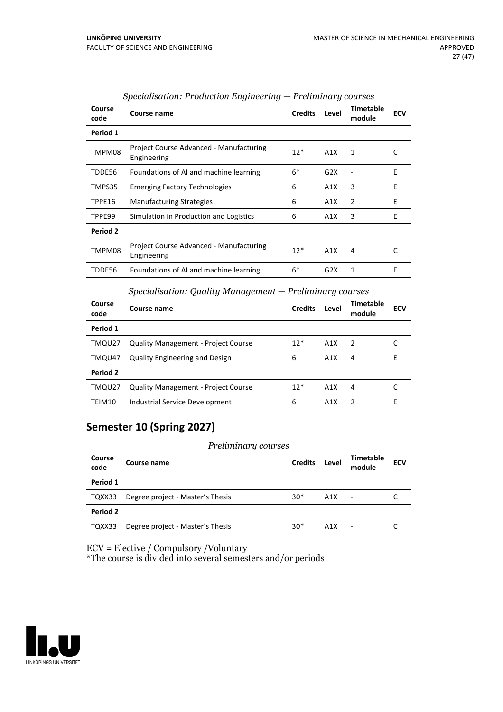| Course<br>code | Course name                                            | <b>Credits</b>                                            | Level | <b>Timetable</b><br>module | <b>ECV</b> |
|----------------|--------------------------------------------------------|-----------------------------------------------------------|-------|----------------------------|------------|
| Period 1       |                                                        |                                                           |       |                            |            |
| TMPM08         | Project Course Advanced - Manufacturing<br>Engineering | $12*$                                                     | A1X   | 1                          | C          |
| TDDE56         | Foundations of AI and machine learning                 | $6*$                                                      | G2X   |                            | E          |
| TMPS35         | <b>Emerging Factory Technologies</b>                   | 6                                                         | A1X   | 3                          | E          |
| TPPE16         | <b>Manufacturing Strategies</b>                        | 6                                                         | A1X   | 2                          | E          |
| TPPE99         | Simulation in Production and Logistics                 | 6                                                         | A1X   | 3                          | E          |
| Period 2       |                                                        |                                                           |       |                            |            |
| TMPM08         | Project Course Advanced - Manufacturing<br>Engineering | $12*$                                                     | A1X   | 4                          | C          |
| TDDE56         | Foundations of AI and machine learning                 | $6*$                                                      | G2X   | $\mathbf{1}$               | E          |
|                | $\alpha$ ii $\alpha$ ii $\mathbf{r}$ ii                | $\mathbf{r}$ , $\mathbf{r}$ , $\mathbf{r}$ , $\mathbf{r}$ |       |                            |            |

### *Specialisation: Production Engineering — Preliminary courses*

|                 | Specialisation: Quality Management — Preliminary courses |                |       |                     |            |  |  |
|-----------------|----------------------------------------------------------|----------------|-------|---------------------|------------|--|--|
| Course<br>code  | Course name                                              | <b>Credits</b> | Level | Timetable<br>module | <b>ECV</b> |  |  |
| Period 1        |                                                          |                |       |                     |            |  |  |
| TMQU27          | <b>Quality Management - Project Course</b>               | $12*$          | A1X   | $\overline{2}$      |            |  |  |
| TMQU47          | <b>Quality Engineering and Design</b>                    | 6              | A1X   | 4                   | F          |  |  |
| <b>Period 2</b> |                                                          |                |       |                     |            |  |  |
| TMQU27          | <b>Quality Management - Project Course</b>               | $12*$          | A1X   | 4                   |            |  |  |
| TEIM10          | Industrial Service Development                           | 6              | A1X   | $\mathcal{P}$       | F          |  |  |

## **Semester 10 (Spring 2027)**

#### *Preliminary courses*

| Course<br>code | Course name                      | <b>Credits</b> | Level            | <b>Timetable</b><br>module | <b>ECV</b> |
|----------------|----------------------------------|----------------|------------------|----------------------------|------------|
| Period 1       |                                  |                |                  |                            |            |
| TQXX33         | Degree project - Master's Thesis | $30*$          | A1X              | ۰                          |            |
| Period 2       |                                  |                |                  |                            |            |
| TQXX33         | Degree project - Master's Thesis | $30*$          | A <sub>1</sub> X | ٠                          |            |

ECV = Elective / Compulsory /Voluntary

\*The course is divided into several semesters and/or periods

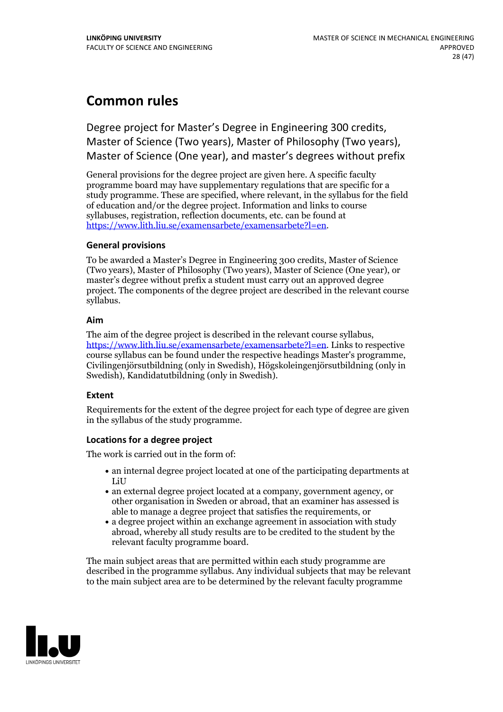# **Common rules**

Degree project for Master's Degree in Engineering 300 credits, Master of Science (Two years), Master of Philosophy (Two years), Master of Science (One year), and master's degrees without prefix

General provisions for the degree project are given here. A specific faculty programme board may have supplementary regulations that are specific for a study programme. These are specified, where relevant, in the syllabus for the field of education and/or the degree project. Information and links to course syllabuses, registration, reflection documents, etc. can be found at <https://www.lith.liu.se/examensarbete/examensarbete?l=en>.

#### **General provisions**

To be awarded a Master's Degree in Engineering 300 credits, Master of Science (Two years), Master of Philosophy (Two years), Master of Science (One year), or master's degree without prefix a student must carry out an approved degree project. The components of the degree project are described in the relevant course syllabus.

#### **Aim**

The aim of the degree project is described in the relevant course syllabus, <https://www.lith.liu.se/examensarbete/examensarbete?l=en>. Links to respective course syllabus can be found under the respective headings Master's programme, Civilingenjörsutbildning (only in Swedish), Högskoleingenjörsutbildning (only in Swedish), Kandidatutbildning (only in Swedish).

### **Extent**

Requirements for the extent of the degree project for each type of degree are given in the syllabus of the study programme.

### **Locations for a degree project**

The work is carried out in the form of:

- an internal degree project located at one of the participating departments at LiU
- an external degree project located at a company, government agency, or other organisation in Sweden or abroad, that an examiner has assessed is able to manage a degree project that satisfies the requirements, or
- a degree project within an exchange agreement in association with study abroad, whereby all study results are to be credited to the student by the relevant faculty programme board.

The main subject areas that are permitted within each study programme are described in the programme syllabus. Any individual subjects that may be relevant to the main subject area are to be determined by the relevant faculty programme

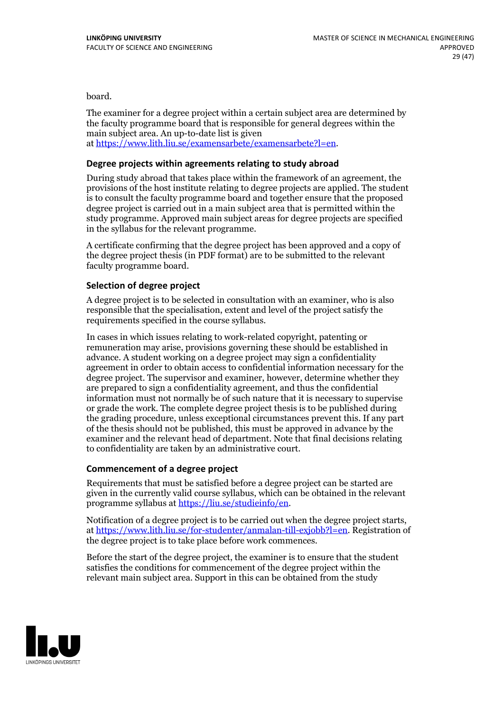board.

The examiner for a degree project within a certain subject area are determined by the faculty programme board that is responsible for general degrees within the main subject area. An up-to-date list is given at [https://www.lith.liu.se/examensarbete/examensarbete?l=en.](https://www.lith.liu.se/examensarbete/examensarbete?l=en)

#### **Degree projects within agreements relatingto study abroad**

During study abroad that takes place within the framework of an agreement, the provisions of the host institute relating to degree projects are applied. The student is to consult the faculty programme board and together ensure that the proposed degree project is carried out in a main subject area that is permitted within the study programme. Approved main subject areas for degree projects are specified in the syllabus for the relevant programme.

A certificate confirming that the degree project has been approved and a copy of the degree project thesis (in PDF format) are to be submitted to the relevant faculty programme board.

#### **Selection of degree project**

A degree project is to be selected in consultation with an examiner, who is also responsible that the specialisation, extent and level of the project satisfy the requirements specified in the course syllabus.

In cases in which issues relating to work-related copyright, patenting or remuneration may arise, provisions governing these should be established in advance. A student working on a degree project may sign a confidentiality agreement in order to obtain access to confidential information necessary for the degree project. The supervisor and examiner, however, determine whether they are prepared to sign a confidentiality agreement, and thus the confidential information must not normally be of such nature that it is necessary to supervise or grade the work. The complete degree project thesis is to be published during the grading procedure, unless exceptional circumstances prevent this. If any part of the thesis should not be published, this must be approved in advance by the examiner and the relevant head of department. Note that final decisions relating to confidentiality are taken by an administrative court.

#### **Commencement of a degree project**

Requirements that must be satisfied before a degree project can be started are given in the currently valid course syllabus, which can be obtained in the relevant programme syllabus at <https://liu.se/studieinfo/en>.

Notification of a degree project is to be carried out when the degree project starts, at <https://www.lith.liu.se/for-studenter/anmalan-till-exjobb?l=en>. Registration of the degree project is to take place before work commences.

Before the start of the degree project, the examiner is to ensure that the student satisfies the conditions for commencement of the degree project within the relevant main subject area. Support in this can be obtained from the study

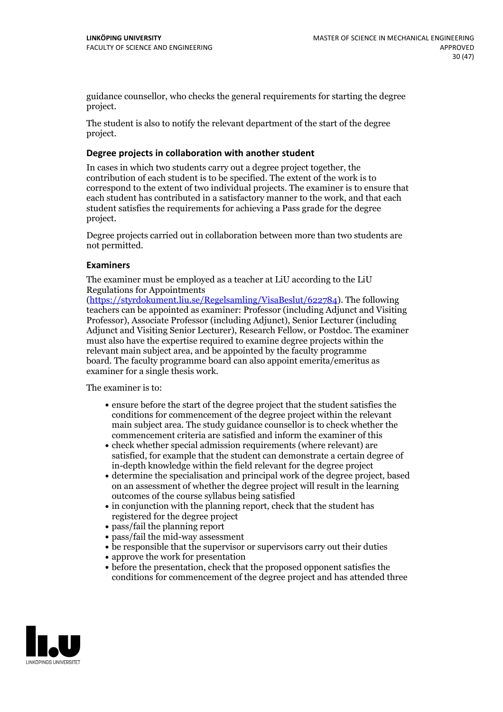guidance counsellor, who checks the general requirements for starting the degree project.

The student is also to notify the relevant department of the start of the degree project.

#### **Degree projects in collaboration with another student**

In cases in which two students carry out a degree project together, the contribution of each student is to be specified. The extent of the work is to correspond to the extent of two individual projects. The examiner is to ensure that each student has contributed in a satisfactory manner to the work, and that each student satisfies the requirements for achieving a Pass grade for the degree project.

Degree projects carried out in collaboration between more than two students are not permitted.

#### **Examiners**

The examiner must be employed as a teacher at LiU according to the LiU Regulations for Appointments

[\(https://styrdokument.liu.se/Regelsamling/VisaBeslut/622784](https://styrdokument.liu.se/Regelsamling/VisaBeslut/622784)). The following teachers can be appointed as examiner: Professor (including Adjunct and Visiting Professor), Associate Professor (including Adjunct), Senior Lecturer (including Adjunct and Visiting Senior Lecturer), Research Fellow, or Postdoc. The examiner must also have the expertise required to examine degree projects within the relevant main subject area, and be appointed by the faculty programme board. The faculty programme board can also appoint emerita/emeritus as examiner for a single thesis work.

The examiner is to:

- ensure before the start of the degree project that the student satisfies the conditions for commencement of the degree project within the relevant main subject area. The study guidance counsellor is to check whether the commencement criteria are satisfied and inform the examiner of this
- check whether special admission requirements (where relevant) are satisfied, for example that the student can demonstrate a certain degree of in-depth knowledge within the field relevant for the degree project
- determine the specialisation and principal work of the degree project, based on an assessment of whether the degree project will result in the learning outcomes of the course syllabus being satisfied
- in conjunction with the planning report, check that the student has registered for the degree project
- pass/fail the planning report
- pass/fail the mid-way assessment
- be responsible that the supervisor or supervisors carry out their duties
- approve the work for presentation
- before the presentation, check that the proposed opponent satisfies the conditions for commencement of the degree project and has attended three

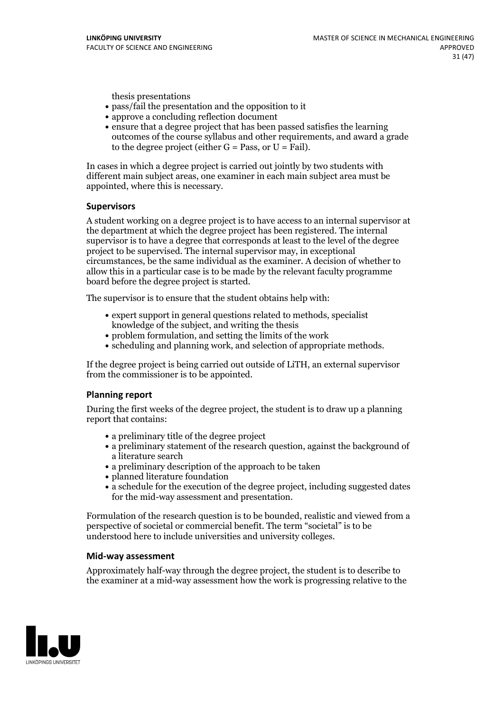thesis presentations

- pass/fail the presentation and the opposition to it
- approve a concluding reflection document
- ensure that a degree project that has been passed satisfies the learning outcomes of the course syllabus and other requirements, and award a grade to the degree project (either  $G = Pass$ , or  $U = Fail$ ).

In cases in which a degree project is carried out jointly by two students with different main subject areas, one examiner in each main subject area must be appointed, where this is necessary.

#### **Supervisors**

A student working on a degree project is to have access to an internal supervisor at the department at which the degree project has been registered. The internal supervisor is to have a degree that corresponds at least to the level of the degree project to be supervised. The internal supervisor may, in exceptional circumstances, be the same individual as the examiner. A decision of whether to allow this in a particular case is to be made by the relevant faculty programme board before the degree project is started.

The supervisor is to ensure that the student obtains help with:

- expert support in general questions related to methods, specialist knowledge of the subject, and writing the thesis
- problem formulation, and setting the limits of the work
- scheduling and planning work, and selection of appropriate methods.

If the degree project is being carried out outside of LiTH, an external supervisor from the commissioner is to be appointed.

#### **Planning report**

During the first weeks of the degree project, the student is to draw up a planning report that contains:

- a preliminary title of the degree project
- a preliminary statement of the research question, against the background of a literature search
- a preliminary description of the approach to be taken
- planned literature foundation
- a schedule for the execution of the degree project, including suggested dates for the mid-way assessment and presentation.

Formulation of the research question is to be bounded, realistic and viewed from a perspective ofsocietal or commercial benefit. The term "societal" is to be understood here to include universities and university colleges.

#### **Mid-way assessment**

Approximately half-way through the degree project, the student is to describe to the examiner at a mid-way assessment how the work is progressing relative to the

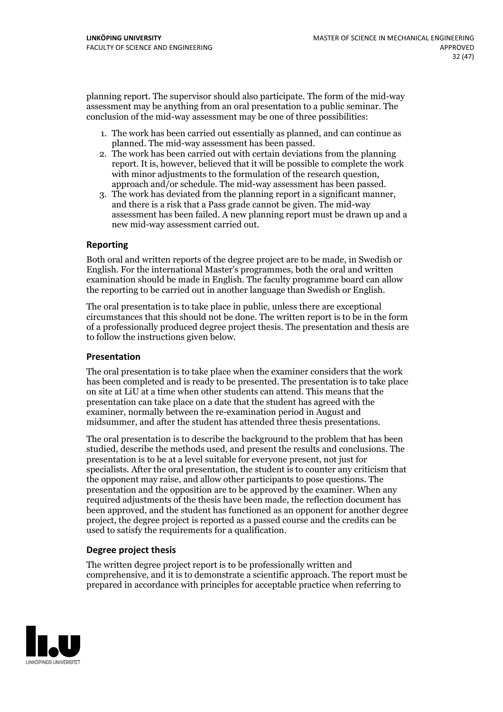planning report. The supervisor should also participate. The form of the mid-way assessment may be anything from an oral presentation to a public seminar. The conclusion of the mid-way assessment may be one of three possibilities:

- 1. The work has been carried out essentially as planned, and can continue as planned. The mid-way assessment has been passed.
- 2. The work has been carried out with certain deviations from the planning report. It is, however, believed that it will be possible to complete the work with minor adjustments to the formulation of the research question,<br>approach and/or schedule. The mid-way assessment has been passed.<br>3. The work has deviated from the planning report in a significant manner,<br>and there is
- assessment has been failed. A new planning report must be drawn up and a new mid-way assessment carried out.

#### **Reporting**

Both oral and written reports of the degree project are to be made, in Swedish or English. For the international Master's programmes, both the oral and written examination should be made in English. The faculty programme board can allow the reporting to be carried out in another language than Swedish or English.

The oral presentation is to take place in public, unless there are exceptional circumstances that this should not be done. The written report is to be in the form of a professionally produced degree project thesis. The presentation and thesis are to follow the instructions given below.

#### **Presentation**

The oral presentation is to take place when the examiner considers that the work has been completed and is ready to be presented. The presentation is to take place on site at LiU at atime when other students can attend. This means that the presentation can take place on a date that the student has agreed with the examiner, normally between the re-examination period in August and midsummer, and after the student has attended three thesis presentations.

The oral presentation is to describe the background to the problem that has been studied, describe the methods used, and present the results and conclusions. The presentation is to be at a level suitable for everyone present, not just for specialists. After the oral presentation, the student is to counter any criticism that the opponent may raise, and allow other participants to pose questions. The presentation and the opposition are to be approved by the examiner. When any required adjustments of the thesis have been made, the reflection document has been approved, and the student has functioned as an opponent for another degree project, the degree project is reported as a passed course and the credits can be used to satisfy the requirements for a qualification.

#### **Degree project thesis**

The written degree project report is to be professionally written and comprehensive, and it is to demonstrate a scientific approach. The report must be prepared in accordance with principles for acceptable practice when referring to

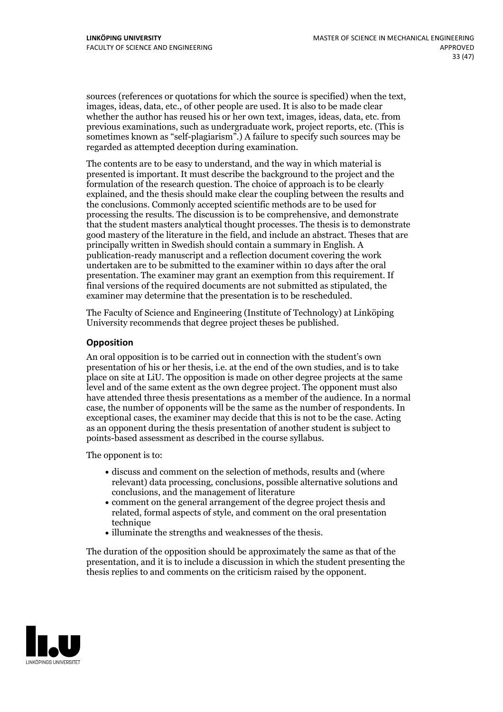sources (references or quotations for which the source is specified) when the text, images, ideas, data, etc., of other people are used. It is also to be made clear whether the author has reused his or her own text, images, ideas, data, etc. from previous examinations, such asundergraduate work, project reports, etc. (This is sometimes known as "self-plagiarism".) A failure to specify such sources may be regarded as attempted deception during examination.

The contents are to be easy to understand, and the way in which material is presented is important. It must describe the background to the project and the formulation of the research question. The choice of approach is to be clearly explained, and the thesis should make clear the coupling between the results and the conclusions. Commonly accepted scientific methods are to be used for processing the results. The discussion is to be comprehensive, and demonstrate that the student masters analytical thought processes. The thesis is to demonstrate good mastery of the literature in the field, and include an abstract. Theses that are principally written in Swedish should contain a summary in English. A publication-ready manuscript and a reflection document covering the work undertaken are to be submitted to the examiner within 10 days after the oral presentation. The examiner may grant an exemption from this requirement. If final versions of the required documents are not submitted as stipulated, the examiner may determine that the presentation is to be rescheduled.

The Faculty of Science and Engineering (Institute of Technology) at Linköping University recommends that degree project theses be published.

#### **Opposition**

An oral opposition is to be carried out in connection with the student's own presentation of his or her thesis, i.e. at the end of the own studies, and is to take place on site at LiU. The opposition is made on other degree projects at the same level and of the same extent as the own degree project. The opponent must also have attended three thesis presentations as a member of the audience. In a normal case, the number of opponents will be the same as the number of respondents. In exceptional cases, the examiner may decide that this is not to be the case. Acting as an opponent during the thesis presentation of another student is subject to points-based assessment as described in the course syllabus.

The opponent is to:

- discuss and comment on the selection of methods, results and (where relevant) data processing, conclusions, possible alternative solutions and conclusions, and the management of literature
- comment on the general arrangement of the degree project thesis and related, formal aspects of style, and comment on the oral presentation technique
- illuminate the strengths and weaknesses of the thesis.

The duration of the opposition should be approximately the same as that of the presentation, and it is to include a discussion in which the student presenting the thesis replies to and comments on the criticism raised by the opponent.

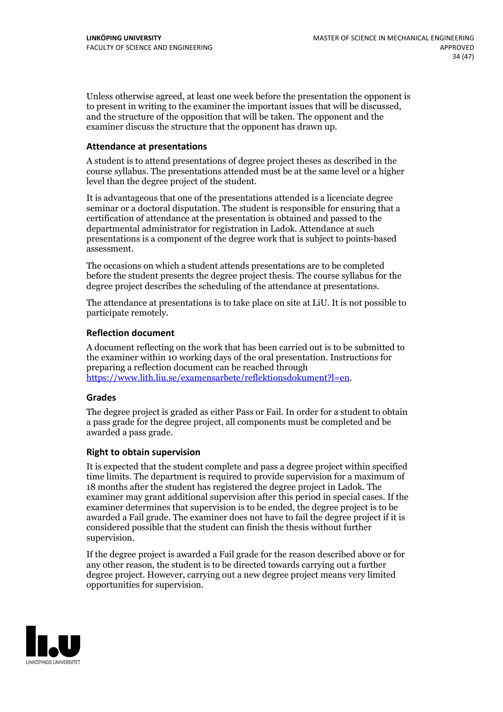Unless otherwise agreed, at least one week before the presentation the opponent is to present in writing to the examiner the important issues that will be discussed, and the structure ofthe opposition that will be taken. The opponent and the examiner discuss the structure that the opponent has drawn up.

#### **Attendance at presentations**

A student is to attend presentations of degree project theses as described in the course syllabus. The presentations attended must be at the same level or a higher level than the degree project of the student.

It is advantageous that one of the presentations attended is a licenciate degree seminar or a doctoral disputation. The student is responsible for ensuring that a certification of attendance at the presentation is obtained and passed to the departmental administrator for registration in Ladok. Attendance at such presentations is a component of the degree work that is subject to points-based assessment.

The occasions on which a student attends presentations are to be completed before the student presents the degree project thesis. The course syllabus for the degree project describes the scheduling of the attendance at presentations.

The attendance at presentations is to take place on site at LiU. It is not possible to participate remotely.

#### **Reflection document**

A document reflecting on the work that has been carried outis to be submitted to the examiner within 10 working days of the oral presentation. Instructions for preparing a reflection document can be reached through [https://www.lith.liu.se/examensarbete/reflektionsdokument?l=en.](https://www.lith.liu.se/examensarbete/reflektionsdokument?l=en)

#### **Grades**

The degree project is graded as either Pass or Fail. In order for a student to obtain a pass grade for the degree project, all components must be completed and be awarded a pass grade.

#### **Right to obtain supervision**

It is expected that the student complete and pass a degree project within specified time limits. The department is required to provide supervision for a maximum of 18 months after the student has registered the degree project in Ladok. The examiner may grant additional supervision after this period in special cases. If the examiner determines that supervision is to be ended, the degree project is to be awarded a Fail grade. The examiner does not have to fail the degree project if it is considered possible that the student can finish the thesis without further supervision.

If the degree project is awarded a Fail grade for the reason described above or for any other reason, the student is to be directed towards carrying out a further degree project. However, carrying out a new degree project means very limited opportunities for supervision.

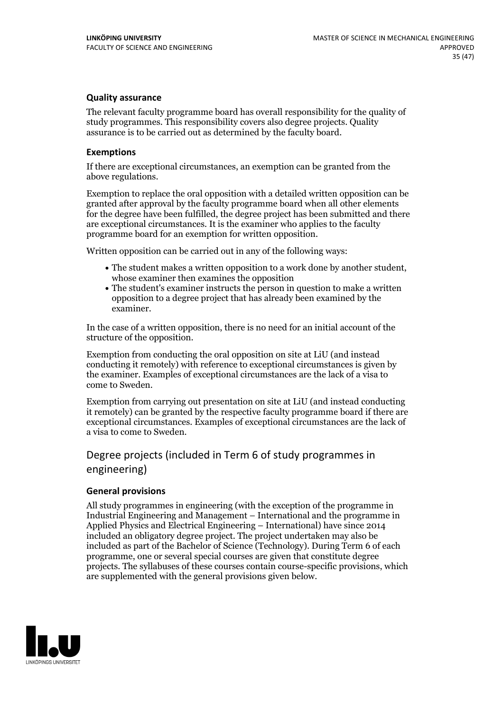### **Quality assurance**

The relevant faculty programme board has overall responsibility for the quality of study programmes. This responsibility covers also degree projects. Quality assurance is to be carried out as determined by the faculty board.

#### **Exemptions**

If there are exceptional circumstances, an exemption can be granted from the above regulations.

Exemption to replace the oral opposition with a detailed written opposition can be granted after approval by the faculty programme board when all other elements for the degree have been fulfilled, the degree project has been submitted and there are exceptional circumstances. It is the examiner who applies to the faculty programme board for an exemption for written opposition.

Written opposition can be carried out in any of the following ways:

- The student makes <sup>a</sup> written opposition to <sup>a</sup> work done by another student, whose examiner then examines the opposition
- The student's examiner instructs the person in question to make a written opposition to a degree project that has already been examined by the examiner.

In the case of a written opposition, there is no need for an initial account of the structure of the opposition.

Exemption from conducting the oral opposition on site at LiU (and instead conducting it remotely) with reference to exceptional circumstances is given by the examiner. Examples of exceptional circumstances are the lack of a visa to come to Sweden.

Exemption from carrying out presentation on site at LiU (and instead conducting it remotely) can be granted by the respective faculty programme board if there are exceptional circumstances. Examples of exceptional circumstances are the lack of a visa to come to Sweden.

## Degree projects (included in Term 6 of study programmes in engineering)

#### **General provisions**

All study programmes in engineering (with the exception of the programme in Industrial Engineering and Management – International and the programme in Applied Physics and Electrical Engineering – International) have since 2014 included an obligatory degree project. The project undertaken may also be included as part of the Bachelor of Science (Technology). During Term 6 of each programme, one or several special courses are given that constitute degree projects. The syllabuses of these courses contain course-specific provisions, which are supplemented with the general provisions given below.

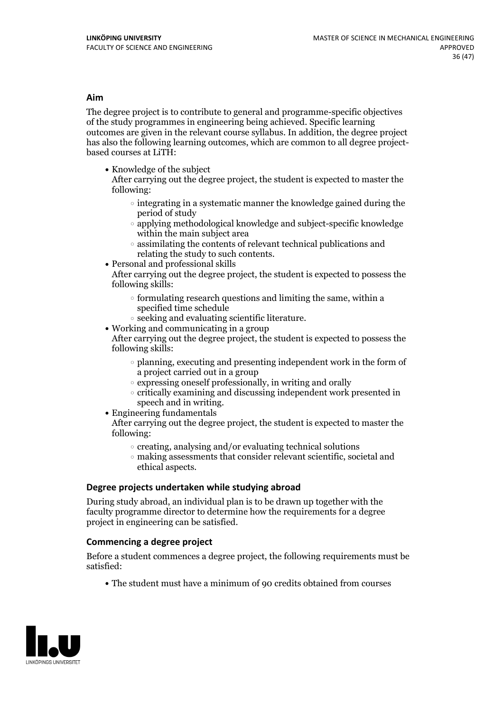#### **Aim**

The degree project is to contribute to general and programme-specific objectives of the study programmes in engineering being achieved. Specific learning outcomes are given in the relevant course syllabus. In addition, the degree project has also the following learning outcomes, which are common to all degree project- based courses at LiTH:

• Knowledge of the subject

After carrying out the degree project, the student is expected to master the following:

- $\circ$  integrating in a systematic manner the knowledge gained during the period of study
- $\circ$  applying methodological knowledge and subject-specific knowledge within the main subject area
- $\circ$  assimilating the contents of relevant technical publications and relating the study to such contents.<br>• Personal and professional skills
- 

After carrying out the degree project, the student is expected to possess the following skills:

- $\circ$  formulating research questions and limiting the same, within a specified time schedule
- $\circ$  seeking and evaluating scientific literature. <br> Working and communicating in a group
- 

After carrying out the degree project, the student is expected to possess the following skills:

- planning, executing and presenting independent work in the form of a project carried out in a group
- $\circ$  expressing oneself professionally, in writing and orally
- $\circ$  critically examining and discussing independent work presented in speech and in writing.
- $\bullet$  Engineering fundamentals

After carrying out the degree project, the student is expected to master the following:

- $\circ$  creating, analysing and/or evaluating technical solutions
- making assessments that consider relevant scientific, societal and ethical aspects.

#### **Degree projects undertaken while studying abroad**

During study abroad, an individual plan is to be drawn up together with the faculty programme director to determine how the requirements for a degree project in engineering can be satisfied.

### **Commencing a degree project**

Before a student commences a degree project, the following requirements must be satisfied:

The student must have a minimum of 90 credits obtained from courses

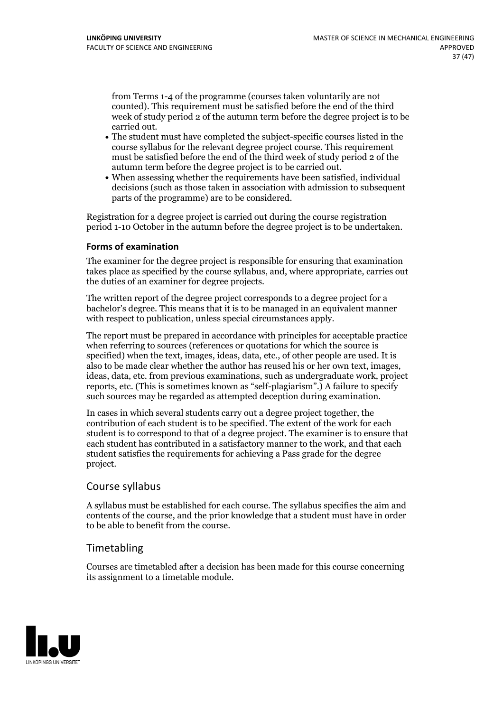from Terms 1-4 of the programme (courses taken voluntarily are not counted). This requirement must be satisfied before the end of the third week of study period 2 of the autumn term before the degree project is to be

- carried out.<br>• The student must have completed the subject-specific courses listed in the course syllabus for the relevant degree project course. This requirement must be satisfied before the end of the third week of study period 2 of the
- autumn term before the degree project is to be carried out.<br>• When assessing whether the requirements have been satisfied, individual decisions (such as those taken in association with admission to subsequent parts of the programme) are to be considered.

Registration for a degree project is carried out during the course registration period 1-10 October in the autumn before the degree project is to be undertaken.

#### **Forms of examination**

The examiner for the degree project is responsible for ensuring that examination takes place as specified by the course syllabus, and, where appropriate, carries out the duties of an examiner for degree projects.

The written report of the degree project corresponds to a degree project for a bachelor's degree. This means that it is to be managed in an equivalent manner with respect to publication, unless special circumstances apply.

The report must be prepared in accordance with principles for acceptable practice when referring to sources (references or quotations for which the source is specified) when the text, images, ideas, data, etc., of other people are used. It is also to be made clear whether the author has reused his or her own text, images, ideas, data, etc. from previous examinations, such as undergraduate work, project reports, etc. (This is sometimes known as"self-plagiarism".) A failure to specify such sources may be regarded as attempted deception during examination.

In cases in which several students carry out a degree project together, the contribution of each student is to be specified. The extent of the work for each student is to correspond to that of a degree project. The examiner is to ensure that each student has contributed in a satisfactory manner to the work, and that each student satisfies the requirements for achieving a Pass grade for the degree project.

## Course syllabus

A syllabus must be established for each course. The syllabus specifies the aim and contents of the course, and the prior knowledge that a student must have in order to be able to benefit from the course.

## Timetabling

Courses are timetabled after a decision has been made for this course concerning its assignment to a timetable module.

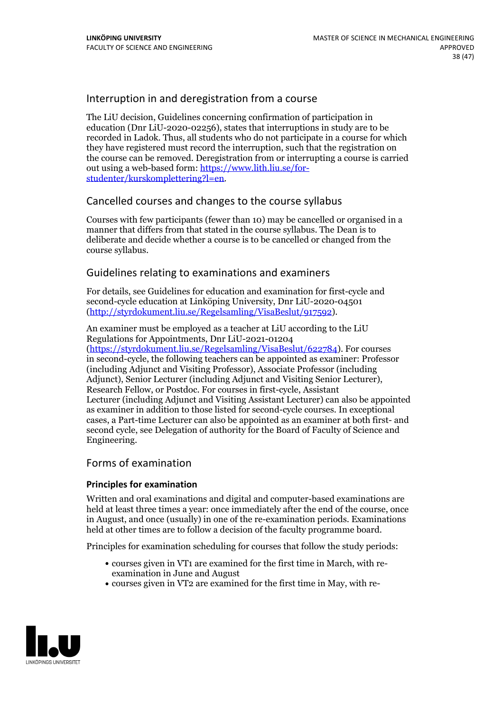## Interruption in and deregistration from a course

The LiU decision, Guidelines concerning confirmation of participation in education (Dnr LiU-2020-02256), states that interruptions in study are to be recorded in Ladok. Thus, all students who do not participate in a course for which they have registered must record the interruption, such that the registration on the course can be removed. Deregistration from or interrupting a course is carried out using <sup>a</sup> web-based form: https://www.lith.liu.se/for- [studenter/kurskomplettering?l=en.](https://www.lith.liu.se/for-studenter/kurskomplettering?l=en)

## Cancelled coursesand changes to the course syllabus

Courses with few participants (fewer than 10) may be cancelled or organised in a manner that differs from that stated in the course syllabus. The Dean is to deliberate and decide whether a course is to be cancelled or changed from the course syllabus.

## Guidelines relating to examinations and examiners

For details, see Guidelines for education and examination for first-cycle and second-cycle education at Linköping University, Dnr LiU-2020-04501 [\(http://styrdokument.liu.se/Regelsamling/VisaBeslut/917592\)](http://styrdokument.liu.se/Regelsamling/VisaBeslut/917592).

An examiner must be employed as a teacher at LiU according to the LiU Regulations for Appointments, Dnr LiU-2021-01204

[\(https://styrdokument.liu.se/Regelsamling/VisaBeslut/622784](https://styrdokument.liu.se/Regelsamling/VisaBeslut/622784)). For courses in second-cycle, the following teachers can be appointed as examiner: Professor (including Adjunct and Visiting Professor), Associate Professor (including Adjunct), Senior Lecturer (including Adjunct and Visiting Senior Lecturer), Research Fellow, or Postdoc. For courses in first-cycle, Assistant Lecturer (including Adjunct and Visiting Assistant Lecturer) can also be appointed as examiner in addition to those listed for second-cycle courses. In exceptional cases, a Part-time Lecturer can also be appointed as an examiner at both first- and second cycle, see Delegation of authority for the Board of Faculty of Science and Engineering.

### Forms of examination

#### **Principles for examination**

Written and oral examinations and digital and computer-based examinations are held at least three times a year: once immediately after the end of the course, once in August, and once (usually) in one of the re-examination periods. Examinations held at other times are to follow a decision of the faculty programme board.

Principles for examination scheduling for courses that follow the study periods:

- courses given in VT1 are examined for the first time in March, with re-examination in June and August
- courses given in VT2 are examined for the first time in May, with re-

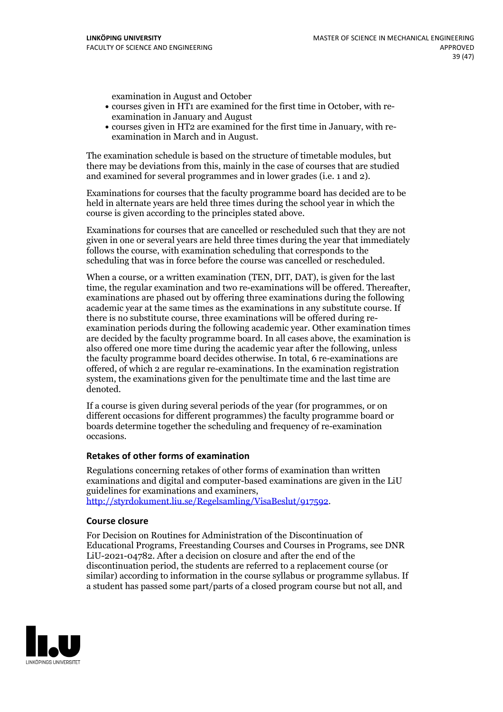examination in August and October

- courses given in HT1 are examined for the first time in October, with re-examination in January and August
- courses given in HT2 are examined for the first time in January, with re-examination in March and in August.

The examination schedule is based on the structure of timetable modules, but there may be deviations from this, mainly in the case of courses that are studied and examined for several programmes and in lower grades (i.e. 1 and 2).

Examinations for courses that the faculty programme board has decided are to be held in alternate years are held three times during the school year in which the course is given according to the principles stated above.

Examinations for courses that are cancelled orrescheduled such that they are not given in one or several years are held three times during the year that immediately follows the course, with examination scheduling that corresponds to the scheduling that was in force before the course was cancelled or rescheduled.

When a course, or a written examination (TEN, DIT, DAT), is given for the last time, the regular examination and two re-examinations will be offered. Thereafter, examinations are phased out by offering three examinations during the following academic year at the same times as the examinations in any substitute course. If there is no substitute course, three examinations will be offered during re- examination periods during the following academic year. Other examination times are decided by the faculty programme board. In all cases above, the examination is also offered one more time during the academic year after the following, unless the faculty programme board decides otherwise. In total, 6 re-examinations are offered, of which 2 are regular re-examinations. In the examination registration system, the examinations given for the penultimate time and the last time are denoted.

If a course is given during several periods of the year (for programmes, or on different occasions for different programmes) the faculty programme board or boards determine together the scheduling and frequency of re-examination occasions.

#### **Retakes of other forms of examination**

Regulations concerning retakes of other forms of examination than written examinations and digital and computer-based examinations are given in the LiU guidelines for examinations and examiners, [http://styrdokument.liu.se/Regelsamling/VisaBeslut/917592.](http://styrdokument.liu.se/Regelsamling/VisaBeslut/917592)

#### **Course closure**

For Decision on Routines for Administration of the Discontinuation of Educational Programs, Freestanding Courses and Courses in Programs, see DNR LiU-2021-04782. After a decision on closure and after the end of the discontinuation period, the students are referred to a replacement course (or similar) according to information in the course syllabus or programme syllabus. If a student has passed some part/parts of a closed program course but not all, and

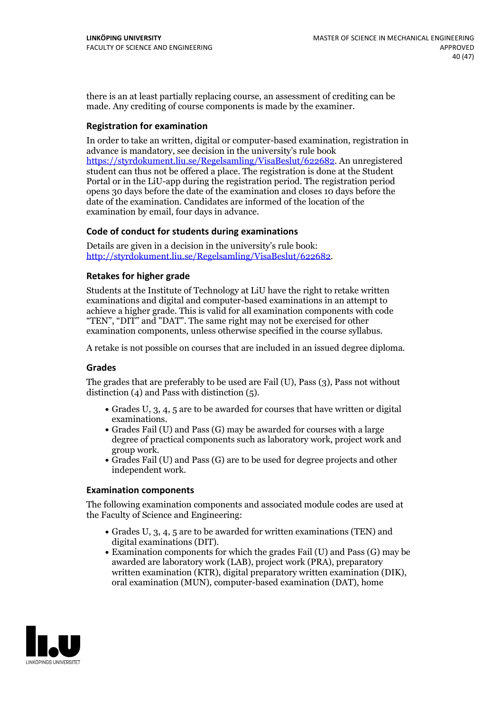there is an at least partially replacing course, an assessment of crediting can be made. Any crediting of course components is made by the examiner.

#### **Registration for examination**

In order to take an written, digital or computer-based examination, registration in advance is mandatory, see decision in the university's rule book [https://styrdokument.liu.se/Regelsamling/VisaBeslut/622682.](https://styrdokument.liu.se/Regelsamling/VisaBeslut/622682) An unregistered student can thus not be offered a place. The registration is done at the Student Portal or in the LiU-app during the registration period. The registration period opens 30 days before the date of the examination and closes 10 days before the date of the examination. Candidates are informed of the location of the examination by email, four days in advance.

#### **Code of conduct for students during examinations**

Details are given in a decision in the university's rule book: <http://styrdokument.liu.se/Regelsamling/VisaBeslut/622682>.

#### **Retakes for higher grade**

Students at the Institute of Technology at LiU have the right to retake written examinations and digital and computer-based examinations in an attempt to achieve a higher grade. This is valid for all examination components with code "TEN", "DIT" and "DAT". The same right may not be exercised for other examination components, unless otherwise specified in the course syllabus.

A retake is not possible on courses that are included in an issued degree diploma.

#### **Grades**

The grades that are preferably to be used are Fail (U), Pass (3), Pass not without distinction (4) and Pass with distinction (5).

- Grades U, 3, 4, 5 are to be awarded for courses that have written or digital examinations.<br>• Grades Fail (U) and Pass (G) may be awarded for courses with a large
- degree of practical components such as laboratory work, project work and group work.<br>• Grades Fail (U) and Pass (G) are to be used for degree projects and other
- independent work.

#### **Examination components**

The following examination components and associated module codes are used at the Faculty of Science and Engineering:

- Grades U, 3, 4, 5 are to be awarded for written examinations (TEN) and digital examinations (DIT).
- $\bullet$  Examination components for which the grades Fail (U) and Pass (G) may be awarded are laboratory work (LAB), project work (PRA), preparatory written examination (KTR), digital preparatory written examination (DIK), oral examination (MUN), computer-based examination (DAT), home

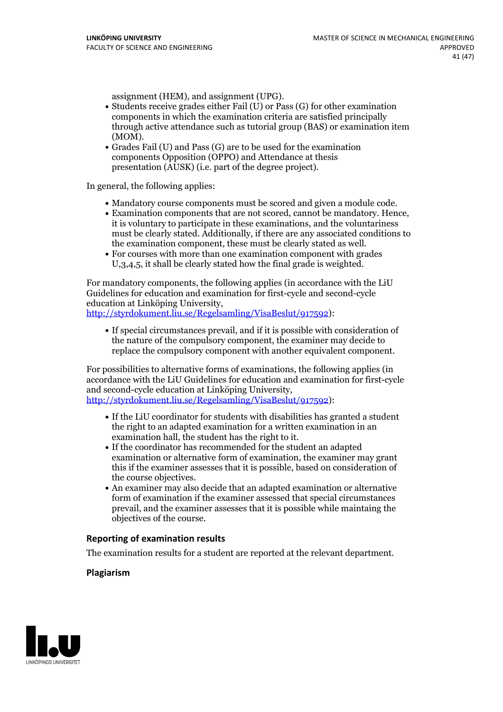- assignment (HEM), and assignment (UPG).<br>• Students receive grades either Fail (U) or Pass (G) for other examination components in which the examination criteria are satisfied principally through active attendance such as tutorial group (BAS) or examination item
- (MOM).<br>• Grades Fail (U) and Pass (G) are to be used for the examination components Opposition (OPPO) and Attendance at thesis presentation (AUSK) (i.e. part of the degree project).

In general, the following applies:

- 
- Mandatory course components must be scored and given <sup>a</sup> module code. Examination components that are not scored, cannot be mandatory. Hence, it is voluntary to participate in these examinations, and the voluntariness must be clearly stated. Additionally, if there are any associated conditions to the examination component, these must be clearly stated as well.<br>• For courses with more than one examination component with grades
- U,3,4,5, it shall be clearly stated how the final grade is weighted.

For mandatory components, the following applies (in accordance with the LiU Guidelines for education and examination for first-cycle and second-cycle education at Linköping University, [http://styrdokument.liu.se/Regelsamling/VisaBeslut/917592\)](http://styrdokument.liu.se/Regelsamling/VisaBeslut/917592):

If special circumstances prevail, and if it is possible with consideration of the nature of the compulsory component, the examiner may decide to replace the compulsory component with another equivalent component.

For possibilities to alternative forms of examinations, the following applies (in accordance with the LiU Guidelines for education and examination for first-cycle [http://styrdokument.liu.se/Regelsamling/VisaBeslut/917592\)](http://styrdokument.liu.se/Regelsamling/VisaBeslut/917592):

- If the LiU coordinator for students with disabilities has granted a student the right to an adapted examination for a written examination in an examination hall, the student has the right to it.<br>If the coordinator has recommended for the student an adapted
- examination or alternative form of examination, the examiner may grant this if the examiner assesses that it is possible, based on consideration of
- $\bullet$  An examiner may also decide that an adapted examination or alternative form of examination if the examiner assessed that special circumstances prevail, and the examiner assesses that it is possible while maintaing the objectives of the course.

#### **Reporting of examination results**

The examination results for a student are reported at the relevant department.

#### **Plagiarism**

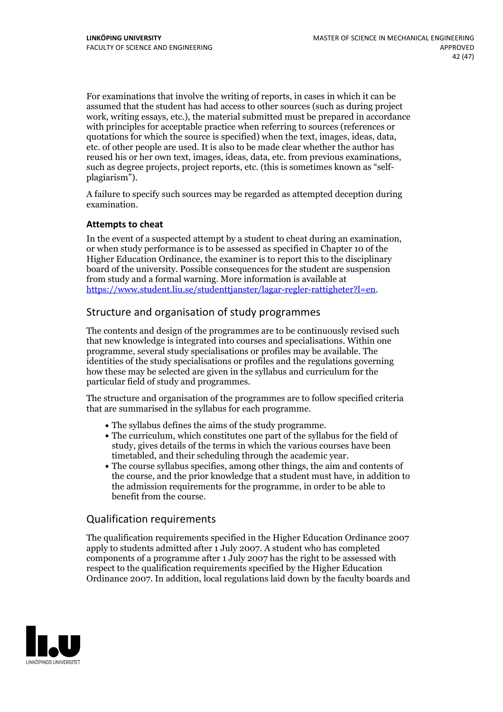For examinations that involve the writing of reports, in cases in which it can be assumed that the student has had access to other sources (such asduring project work, writing essays, etc.), the material submitted must be prepared in accordance with principles for acceptable practice when referring to sources (references or quotations for which the source is specified) when the text, images, ideas, data, etc. of other people are used. It is also to be made clear whether the author has reused his or her own text, images, ideas, data, etc. from previous examinations, such as degree projects, project reports, etc. (this is sometimes known as "self- plagiarism").

A failure to specify such sources may be regarded as attempted deception during examination.

#### **Attempts to cheat**

In the event of <sup>a</sup> suspected attempt by <sup>a</sup> student to cheat during an examination, or when study performance is to be assessed as specified in Chapter <sup>10</sup> of the Higher Education Ordinance, the examiner is to report this to the disciplinary board of the university. Possible consequences for the student are suspension from study and a formal warning. More information is available at <https://www.student.liu.se/studenttjanster/lagar-regler-rattigheter?l=en>.

## Structure and organisation of study programmes

The contents and design of the programmes are to be continuously revised such that new knowledge is integrated into courses and specialisations. Within one programme, several study specialisations or profiles may be available. The identities of the study specialisations or profiles and the regulations governing how these may be selected are given in the syllabus and curriculum for the particular field of study and programmes.

The structure and organisation of the programmes are to follow specified criteria that are summarised in the syllabus for each programme.

- 
- The syllabus defines the aims of the study programme.<br>• The curriculum, which constitutes one part of the syllabus for the field of study, gives details of the terms in which the various courses have been
- timetabled, and their scheduling through the academic year.<br>• The course syllabus specifies, among other things, the aim and contents of the course, and the prior knowledge that a student must have, in addition to the admission requirements for the programme, in order to be able to benefit from the course.

### Qualification requirements

The qualification requirements specified in the Higher Education Ordinance 2007 apply to students admitted after 1 July 2007. A student who has completed components of a programme after 1 July 2007 has the right to be assessed with respect to the qualification requirements specified by the Higher Education Ordinance 2007. In addition, local regulations laid down by the faculty boards and

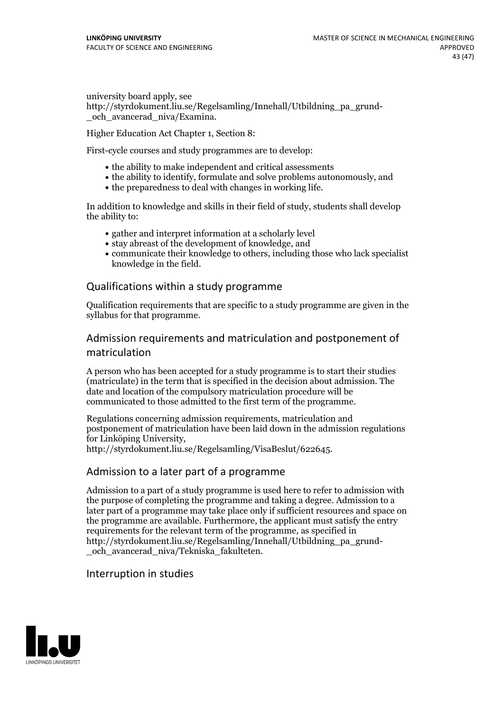university board apply, see http://styrdokument.liu.se/Regelsamling/Innehall/Utbildning\_pa\_grund- \_och\_avancerad\_niva/Examina.

Higher Education Act Chapter 1, Section 8:

First-cycle courses and study programmes are to develop:

- the ability to make independent and critical assessments
- the ability to identify, formulate and solve problems autonomously, and
- the preparedness to deal with changes in working life.

In addition to knowledge and skills in their field of study, students shall develop the ability to:

- gather and interpret information at a scholarly level
- stay abreast of the development of knowledge, and
- communicate their knowledge to others, including those who lack specialist knowledge in the field.

### Qualifications within astudy programme

Qualification requirements that are specific to a study programme are given in the syllabus for that programme.

## Admission requirements and matriculation and postponement of matriculation

A person who has been accepted for a study programme is to start their studies (matriculate) in the term that is specified in the decision about admission. The date and location of the compulsory matriculation procedure will be communicated to those admitted to the first term of the programme.

Regulations concerning admission requirements, matriculation and postponement of matriculation have been laid down in the admission regulations for Linköping University, http://styrdokument.liu.se/Regelsamling/VisaBeslut/622645.

#### Admission to a later part of a programme

Admission to a part of a study programme is used here to refer to admission with the purpose of completing the programme and taking a degree. Admission to a later part of a programme may take place only if sufficient resources and space on the programme are available. Furthermore, the applicant must satisfy the entry requirements for the relevant term of the programme, as specified in http://styrdokument.liu.se/Regelsamling/Innehall/Utbildning\_pa\_grund- \_och\_avancerad\_niva/Tekniska\_fakulteten.

#### Interruption in studies

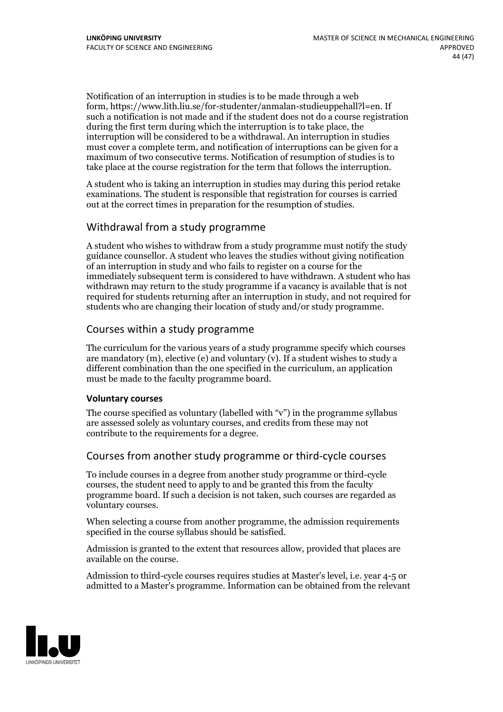Notification of an interruption in studies is to be made through a web form, https://www.lith.liu.se/for-studenter/anmalan-studieuppehall?l=en. If such a notification is not made and if the student does not do a course registration during the first term during which the interruption is to take place, the interruption will be considered to be a withdrawal. An interruption in studies must cover a complete term, and notification of interruptions can be given for a maximum of two consecutive terms. Notification of resumption of studies is to take place at the course registration for the term that follows the interruption.

A student who is taking an interruption in studies may during this period retake examinations. The student is responsible that registration for courses is carried out at the correct times in preparation for the resumption of studies.

## Withdrawal from a study programme

A student who wishes to withdraw from a study programme must notify the study guidance counsellor. A student who leaves the studies without giving notification of an interruption in study and who fails to register on a course for the immediately subsequent term is considered to have withdrawn. A student who has withdrawn may return to the study programme if a vacancy is available that is not required for students returning after an interruption in study, and not required for students who are changing their location of study and/or study programme.

### Courses within astudy programme

The curriculum for the various years of a study programme specify which courses are mandatory  $(m)$ , elective (e) and voluntary  $(v)$ . If a student wishes to study a different combination than the one specified in the curriculum, an application must be made to the faculty programme board.

#### **Voluntarycourses**

The course specified as voluntary (labelled with "v") in the programme syllabus are assessed solely as voluntary courses, and credits from these may not contribute to the requirements for a degree.

## Courses from another study programme or third-cycle courses

To include courses in a degree from another study programme or third-cycle courses, the student need to apply to and be granted this from the faculty programme board. If such a decision is not taken, such courses are regarded as voluntary courses.

When selecting a course from another programme, the admission requirements specified in the course syllabus should be satisfied.

Admission is granted to the extent that resources allow, provided that places are available on the course.

Admission to third-cycle courses requires studies at Master's level, i.e. year 4-5 or admitted to a Master's programme. Information can be obtained from the relevant

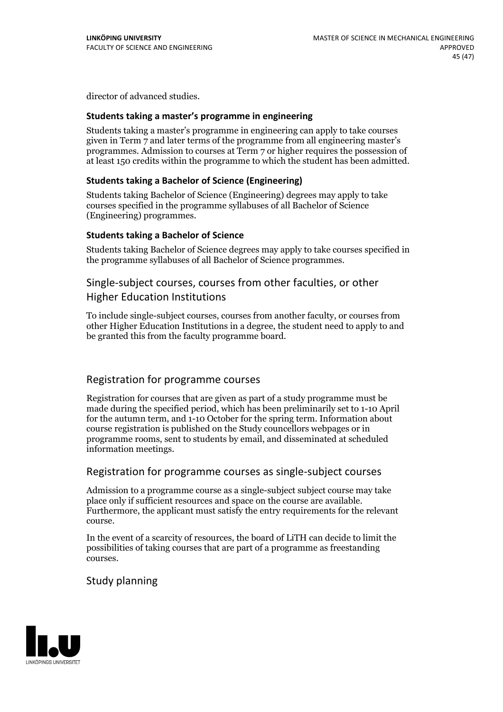director of advanced studies.

#### **Students taking a master's programme in engineering**

Students taking a master's programme in engineering can apply to take courses given in Term 7 and later terms of the programme from all engineering master's programmes. Admission to courses at Term 7 or higher requires the possession of at least 150 credits within the programme to which the student has been admitted.

#### **Students taking a Bachelor of Science (Engineering)**

Students taking Bachelor of Science (Engineering) degrees may apply to take courses specified in the programme syllabuses of all Bachelor of Science (Engineering) programmes.

#### **Students taking a Bachelor of Science**

Students taking Bachelor of Science degrees may apply to take courses specified in the programme syllabuses of all Bachelor of Science programmes.

#### Single-subject courses, courses from other faculties, or other

### Higher Education Institutions

To include single-subject courses, courses from another faculty, or courses from other Higher Education Institutions in a degree, the student need to apply to and be granted this from the faculty programme board.

### Registration for programme courses

Registration for courses that are given as part of a study programme must be made during the specified period, which has been preliminarily set to 1-10 April for the autumn term, and 1-10 October for the spring term. Information about course registration is published on the Study councellors webpages or in programme rooms, sent to students by email, and disseminated at scheduled information meetings.

### Registration for programme courses as single-subject courses

Admission to a programme course as a single-subject subject course may take place only if sufficient resources and space on the course are available. Furthermore, the applicant must satisfy the entry requirements for the relevant course.

In the event of a scarcity of resources, the board of LiTH can decide to limit the possibilities of taking courses that are part of a programme as freestanding courses.

#### Study planning

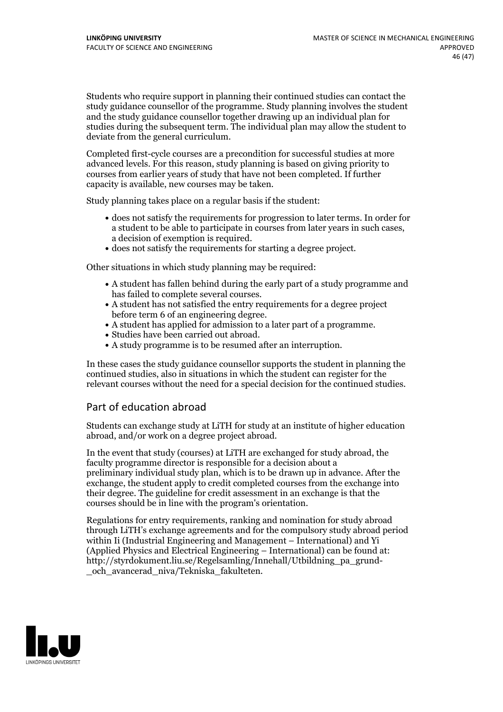Students who require support in planning their continued studies can contact the study guidance counsellor of the programme. Study planning involves the student and the study guidance counsellor together drawing up an individual plan for studies during the subsequent term. The individual plan may allow the student to deviate from the general curriculum.

Completed first-cycle courses are a precondition for successful studies at more advanced levels. For this reason, study planning is based on giving priority to courses from earlier years of study that have not been completed. If further capacity is available, new courses may be taken.

Study planning takes place on a regular basis if the student:

- does not satisfy the requirements for progression to later terms. In order for a student to be able to participate in courses from later years in such cases, a decision of exemption is required.<br>
• does not satisfy the requirements for starting a degree project.
- 

Other situations in which study planning may be required:

- A student has fallen behind during the early part of a study programme and
- has failed to complete several courses.<br>• A student has not satisfied the entry requirements for a degree project<br>before term 6 of an engineering degree.
- A student has applied for admission to a later part of a programme.<br>• Studies have been carried out abroad.<br>• A study programme is to be resumed after an interruption.
- 
- 

In these cases the study guidance counsellor supports the student in planning the continued studies, also in situations in which the student can register for the relevant courses without the need for a special decision for the continued studies.

## Part of education abroad

Students can exchange study at LiTH for study at an institute of higher education abroad, and/or work on a degree project abroad.

In the event that study (courses) at LiTH are exchanged for study abroad, the faculty programme director is responsible for a decision about a preliminary individual study plan, which is to be drawn up in advance. After the exchange, the student apply to credit completed courses from the exchange into their degree. The guideline for credit assessment in an exchange is that the courses should be in line with the program's orientation.

Regulations for entry requirements, ranking and nomination for study abroad through LiTH's exchange agreements and for the compulsory study abroad period within Ii (Industrial Engineering and Management – International) and Yi (Applied Physics and Electrical Engineering – International) can be found at: http://styrdokument.liu.se/Regelsamling/Innehall/Utbildning\_pa\_grund- \_och\_avancerad\_niva/Tekniska\_fakulteten.